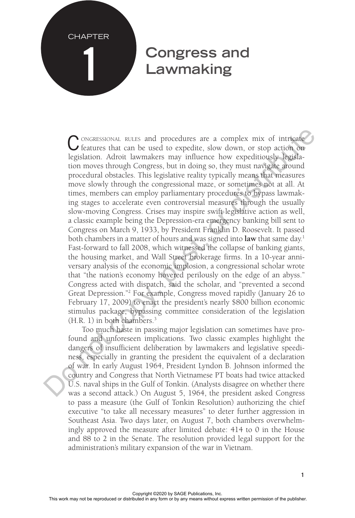# **Congress and<br>Lawmaking**

**CHAPTFR** 

C ongressional rules and procedures are a complex mix of intricate features that can be used to expedite, slow down, or stop action on legislation. Adroit lawmakers may influence how expeditiously legislation moves through Congress, but in doing so, they must navigate around procedural obstacles. This legislative reality typically means that measures move slowly through the congressional maze, or sometimes not at all. At times, members can employ parliamentary procedures to bypass lawmaking stages to accelerate even controversial measures through the usually slow-moving Congress. Crises may inspire swift legislative action as well, a classic example being the Depression-era emergency banking bill sent to Congress on March 9, 1933, by President Franklin D. Roosevelt. It passed both chambers in a matter of hours and was signed into **law** that same day.<sup>1</sup> Fast-forward to fall 2008, which witnessed the collapse of banking giants, the housing market, and Wall Street brokerage firms. In a 10-year anniversary analysis of the economic implosion, a congressional scholar wrote that "the nation's economy hovered perilously on the edge of an abyss." Congress acted with dispatch, said the scholar, and "prevented a second Great Depression."<sup>2</sup> For example, Congress moved rapidly (January 26 to February 17, 2009) to enact the president's nearly \$800 billion economic stimulus package, bypassing committee consideration of the legislation (H.R. 1) in both chambers.3 C onseressional kulls and procedures are a complex mix of intricate legislation. Adoti law<br>makers may influence how expeditionsly legislation moves through Congress, but in doing so, they must navigate a<br>butum procedural

Too much haste in passing major legislation can sometimes have profound and unforeseen implications. Two classic examples highlight the dangers of insufficient deliberation by lawmakers and legislative speediness, especially in granting the president the equivalent of a declaration of war. In early August 1964, President Lyndon B. Johnson informed the country and Congress that North Vietnamese PT boats had twice attacked  $\overline{U}.$  S. naval ships in the Gulf of Tonkin. (Analysts disagree on whether there was a second attack.) On August 5, 1964, the president asked Congress to pass a measure (the Gulf of Tonkin Resolution) authorizing the chief executive "to take all necessary measures" to deter further aggression in Southeast Asia. Two days later, on August 7, both chambers overwhelmingly approved the measure after limited debate: 414 to 0 in the House and 88 to 2 in the Senate. The resolution provided legal support for the administration's military expansion of the war in Vietnam.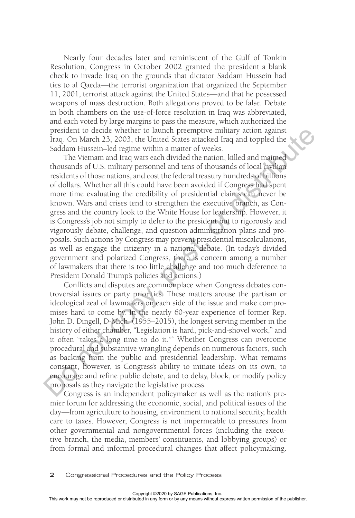Nearly four decades later and reminiscent of the Gulf of Tonkin Resolution, Congress in October 2002 granted the president a blank check to invade Iraq on the grounds that dictator Saddam Hussein had ties to al Qaeda—the terrorist organization that organized the September 11, 2001, terrorist attack against the United States—and that he possessed weapons of mass destruction. Both allegations proved to be false. Debate in both chambers on the use-of-force resolution in Iraq was abbreviated, and each voted by large margins to pass the measure, which authorized the president to decide whether to launch preemptive military action against Iraq. On March 23, 2003, the United States attacked Iraq and toppled the Saddam Hussein–led regime within a matter of weeks.

The Vietnam and Iraq wars each divided the nation, killed and maimed thousands of U.S. military personnel and tens of thousands of local civilian residents of those nations, and cost the federal treasury hundreds of billions of dollars. Whether all this could have been avoided if Congress had spent more time evaluating the credibility of presidential claims can never be known. Wars and crises tend to strengthen the executive branch, as Congress and the country look to the White House for leadership. However, it is Congress's job not simply to defer to the president but to rigorously and vigorously debate, challenge, and question administration plans and proposals. Such actions by Congress may prevent presidential miscalculations, as well as engage the citizenry in a national debate. (In today's divided government and polarized Congress, there is concern among a number of lawmakers that there is too little challenge and too much deference to President Donald Trump's policies and actions.) president to decide whether to launch prementive military action a gainst<br>Iraq. On March 23, 2003, the United States attacked Iraq and toppled the<br>Saddam Hussein-led regime within a matter of weeks.<br>
The Vienam and Iraq wa

Conflicts and disputes are commonplace when Congress debates controversial issues or party priorities. These matters arouse the partisan or ideological zeal of lawmakers on each side of the issue and make compromises hard to come by. In the nearly 60-year experience of former Rep. John D. Dingell, D-Mich. (1955–2015), the longest serving member in the history of either chamber, "Legislation is hard, pick-and-shovel work," and it often "takes a long time to do it."4 Whether Congress can overcome procedural and substantive wrangling depends on numerous factors, such as backing from the public and presidential leadership. What remains constant, however, is Congress's ability to initiate ideas on its own, to encourage and refine public debate, and to delay, block, or modify policy proposals as they navigate the legislative process.

Congress is an independent policymaker as well as the nation's premier forum for addressing the economic, social, and political issues of the day—from agriculture to housing, environment to national security, health care to taxes. However, Congress is not impermeable to pressures from other governmental and nongovernmental forces (including the executive branch, the media, members' constituents, and lobbying groups) or from formal and informal procedural changes that affect policymaking.

**2** Congressional Procedures and the Policy Process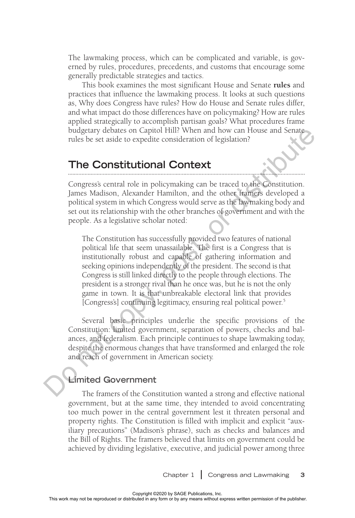The lawmaking process, which can be complicated and variable, is governed by rules, procedures, precedents, and customs that encourage some generally predictable strategies and tactics.

This book examines the most significant House and Senate **rules** and practices that influence the lawmaking process. It looks at such questions as, Why does Congress have rules? How do House and Senate rules differ, and what impact do those differences have on policymaking? How are rules applied strategically to accomplish partisan goals? What procedures frame budgetary debates on Capitol Hill? When and how can House and Senate rules be set aside to expedite consideration of legislation?

# **The Constitutional Context**

Congress's central role in policymaking can be traced to the Constitution. James Madison, Alexander Hamilton, and the other framers developed a political system in which Congress would serve as the lawmaking body and set out its relationship with the other branches of government and with the people. As a legislative scholar noted:

The Constitution has successfully provided two features of national political life that seem unassailable. The first is a Congress that is institutionally robust and capable of gathering information and seeking opinions independently of the president. The second is that Congress is still linked directly to the people through elections. The president is a stronger rival than he once was, but he is not the only game in town. It is that unbreakable electoral link that provides [Congress's] continuing legitimacy, ensuring real political power.<sup>5</sup> budgetary debates on Capitol Hill? When and how can House and Senate<br>
rules be set aside to expedite consideration of legislation?<br>
The Constitutional Context<br>
Congress's central role in policymaking can be traced to the C

Several basic principles underlie the specific provisions of the Constitution: limited government, separation of powers, checks and balances, and federalism. Each principle continues to shape lawmaking today, despite the enormous changes that have transformed and enlarged the role and reach of government in American society.

# **Limited Government**

The framers of the Constitution wanted a strong and effective national government, but at the same time, they intended to avoid concentrating too much power in the central government lest it threaten personal and property rights. The Constitution is filled with implicit and explicit "auxiliary precautions" (Madison's phrase), such as checks and balances and the Bill of Rights. The framers believed that limits on government could be achieved by dividing legislative, executive, and judicial power among three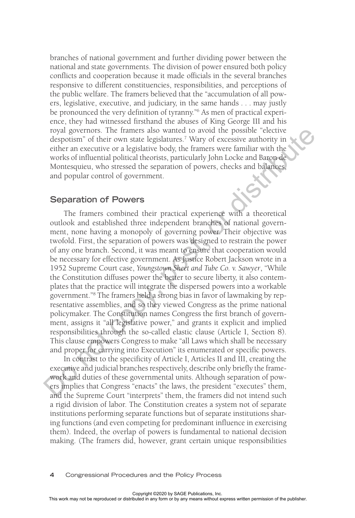branches of national government and further dividing power between the national and state governments. The division of power ensured both policy conflicts and cooperation because it made officials in the several branches responsive to different constituencies, responsibilities, and perceptions of the public welfare. The framers believed that the "accumulation of all powers, legislative, executive, and judiciary, in the same hands . . . may justly be pronounced the very definition of tyranny."6 As men of practical experience, they had witnessed firsthand the abuses of King George III and his royal governors. The framers also wanted to avoid the possible "elective despotism" of their own state legislatures.7 Wary of excessive authority in either an executive or a legislative body, the framers were familiar with the works of influential political theorists, particularly John Locke and Baron de Montesquieu, who stressed the separation of powers, checks and balances, and popular control of government.

## **Separation of Powers**

The framers combined their practical experience with a theoretical outlook and established three independent branches of national government, none having a monopoly of governing power. Their objective was twofold. First, the separation of powers was designed to restrain the power of any one branch. Second, it was meant to ensure that cooperation would be necessary for effective government. As Justice Robert Jackson wrote in a 1952 Supreme Court case, *Youngstown Sheet and Tube Co. v. Sawyer*, "While the Constitution diffuses power the better to secure liberty, it also contemplates that the practice will integrate the dispersed powers into a workable government."8 The framers held a strong bias in favor of lawmaking by representative assemblies, and so they viewed Congress as the prime national policymaker. The Constitution names Congress the first branch of government, assigns it "all legislative power," and grants it explicit and implied responsibilities through the so-called elastic clause (Article I, Section 8). This clause empowers Congress to make "all Laws which shall be necessary and proper for carrying into Execution" its enumerated or specific powers. royal governors. The Iramers also wanted to avoid the possible "elective<br>despoisan" of their convers also vantate logislatures.<sup>7</sup> Wary of excessive authority in<br>either an executive or a legislative body, the framers were

In contrast to the specificity of Article I, Articles II and III, creating the executive and judicial branches respectively, describe only briefly the framework and duties of these governmental units. Although separation of powers implies that Congress "enacts" the laws, the president "executes" them, and the Supreme Court "interprets" them, the framers did not intend such a rigid division of labor. The Constitution creates a system not of separate institutions performing separate functions but of separate institutions sharing functions (and even competing for predominant influence in exercising them). Indeed, the overlap of powers is fundamental to national decision making. (The framers did, however, grant certain unique responsibilities

**4** Congressional Procedures and the Policy Process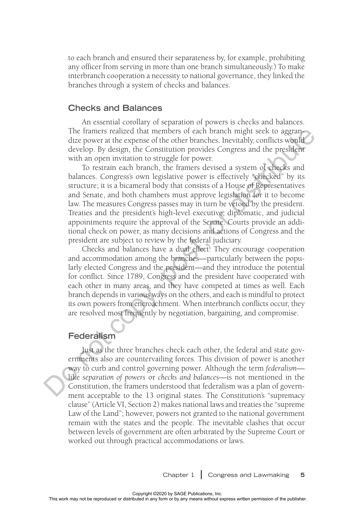to each branch and ensured their separateness by, for example, prohibiting any officer from serving in more than one branch simultaneously.) To make interbranch cooperation a necessity to national governance, they linked the branches through a system of checks and balances.

## **Checks and Balances**

An essential corollary of separation of powers is checks and balances. The framers realized that members of each branch might seek to aggrandize power at the expense of the other branches. Inevitably, conflicts would develop. By design, the Constitution provides Congress and the president with an open invitation to struggle for power.

To restrain each branch, the framers devised a system of checks and balances. Congress's own legislative power is effectively "checked" by its structure; it is a bicameral body that consists of a House of Representatives and Senate, and both chambers must approve legislation for it to become law. The measures Congress passes may in turn be vetoed by the president. Treaties and the president's high-level executive, diplomatic, and judicial appointments require the approval of the Senate. Courts provide an additional check on power, as many decisions and actions of Congress and the president are subject to review by the federal judiciary. The framers realized that members of each branch might seek to aggram<br>dize power at the expense of the other branches. Inevitably, conflicts would<br>develop. By design, the Constitution provides Congress and the president<br>wi

Checks and balances have a dual effect: They encourage cooperation and accommodation among the branches—particularly between the popularly elected Congress and the president—and they introduce the potential for conflict. Since 1789, Congress and the president have cooperated with each other in many areas, and they have competed at times as well. Each branch depends in various ways on the others, and each is mindful to protect its own powers from encroachment. When interbranch conflicts occur, they are resolved most frequently by negotiation, bargaining, and compromise.

# **Federalism**

Just as the three branches check each other, the federal and state governments also are countervailing forces. This division of power is another way to curb and control governing power. Although the term *federalism* like *separation of powers* or *checks and balances*—is not mentioned in the Constitution, the framers understood that federalism was a plan of government acceptable to the 13 original states. The Constitution's "supremacy clause" (Article VI, Section 2) makes national laws and treaties the "supreme Law of the Land"; however, powers not granted to the national government remain with the states and the people. The inevitable clashes that occur between levels of government are often arbitrated by the Supreme Court or worked out through practical accommodations or laws.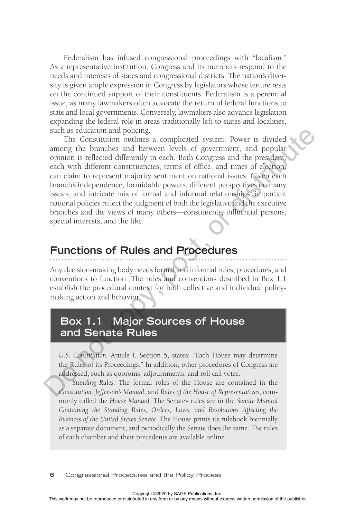Federalism has infused congressional proceedings with "localism." As a representative institution, Congress and its members respond to the needs and interests of states and congressional districts. The nation's diversity is given ample expression in Congress by legislators whose tenure rests on the continued support of their constituents. Federalism is a perennial issue, as many lawmakers often advocate the return of federal functions to state and local governments. Conversely, lawmakers also advance legislation expanding the federal role in areas traditionally left to states and localities, such as education and policing.

The Constitution outlines a complicated system. Power is divided among the branches and between levels of government, and popular opinion is reflected differently in each. Both Congress and the president, each with different constituencies, terms of office, and times of election, can claim to represent majority sentiment on national issues. Given each branch's independence, formidable powers, different perspectives on many issues, and intricate mix of formal and informal relationships, important national policies reflect the judgment of both the legislative and the executive branches and the views of many others—constituents, influential persons, special interests, and the like. such as education and policing.<br>
The Constitution outlines a complicated system. Power is divided<br>
among the branches and between levels of government, and popular<br>
pointinum is reflected differently in each. Both Congress

# **Functions of Rules and Procedures**

Any decision-making body needs formal and informal rules, procedures, and conventions to function. The rules and conventions described in Box 1.1 establish the procedural context for both collective and individual policymaking action and behavior.

# **Box 1.1 Major Sources of House and Senate Rules**

*U.S. Constitution.* Article I, Section 5, states: "Each House may determine the Rules of its Proceedings." In addition, other procedures of Congress are addressed, such as quorums, adjournments, and roll call votes.

*Standing Rules.* The formal rules of the House are contained in the *Constitution*, *Jefferson's Manual*, and *Rules of the House of Representatives*, commonly called the *House Manual.* The Senate's rules are in the *Senate Manual Containing the Standing Rules, Orders, Laws, and Resolutions Affecting the Business of the United States Senate.* The House prints its rulebook biennially as a separate document, and periodically the Senate does the same. The rules of each chamber and their precedents are available online.

**6** Congressional Procedures and the Policy Process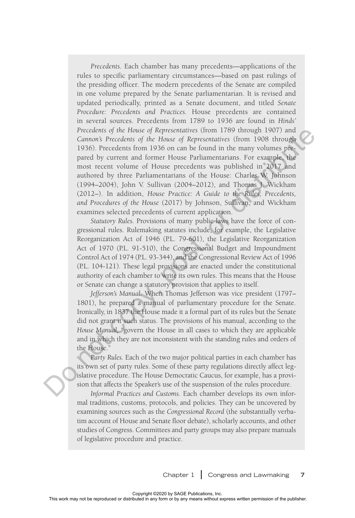*Precedents.* Each chamber has many precedents—applications of the rules to specific parliamentary circumstances—based on past rulings of the presiding officer. The modern precedents of the Senate are compiled in one volume prepared by the Senate parliamentarian. It is revised and updated periodically, printed as a Senate document, and titled *Senate Procedure: Precedents and Practices.* House precedents are contained in several sources. Precedents from 1789 to 1936 are found in *Hinds' Precedents of the House of Representatives* (from 1789 through 1907) and *Cannon's Precedents of the House of Representatives* (from 1908 through 1936). Precedents from 1936 on can be found in the many volumes prepared by current and former House Parliamentarians. For example, the most recent volume of House precedents was published in 2017 and authored by three Parliamentarians of the House: Charles W. Johnson (1994–2004), John V. Sullivan (2004–2012), and Thomas J. Wickham (2012–). In addition, *House Practice: A Guide to the Rules, Precedents, and Procedures of the House* (2017) by Johnson, Sullivan, and Wickham examines selected precedents of current application. Precedents of the House of Representatives (from 1799 through 1907) and<br>
Camons's Precedents of the House of Representatives (from 1908 through<br>
1936). Precedents from 1936 on can be found in the many volumes pre-<br>
pared

*Statutory Rules.* Provisions of many public laws have the force of congressional rules. Rulemaking statutes include, for example, the Legislative Reorganization Act of 1946 (P.L. 79-601), the Legislative Reorganization Act of 1970 (P.L. 91-510), the Congressional Budget and Impoundment Control Act of 1974 (P.L. 93-344), and the Congressional Review Act of 1996 (P.L. 104-121). These legal provisions are enacted under the constitutional authority of each chamber to write its own rules. This means that the House or Senate can change a statutory provision that applies to itself.

*Jefferson's Manual.* When Thomas Jefferson was vice president (1797– 1801), he prepared a manual of parliamentary procedure for the Senate. Ironically, in 1837 the House made it a formal part of its rules but the Senate did not grant it such status. The provisions of his manual, according to the *House Manual,* "govern the House in all cases to which they are applicable and in which they are not inconsistent with the standing rules and orders of the House."

*Party Rules.* Each of the two major political parties in each chamber has its own set of party rules. Some of these party regulations directly affect legislative procedure. The House Democratic Caucus, for example, has a provision that affects the Speaker's use of the suspension of the rules procedure.

*Informal Practices and Customs.* Each chamber develops its own informal traditions, customs, protocols, and policies. They can be uncovered by examining sources such as the *Congressional Record* (the substantially verbatim account of House and Senate floor debate), scholarly accounts, and other studies of Congress. Committees and party groups may also prepare manuals of legislative procedure and practice.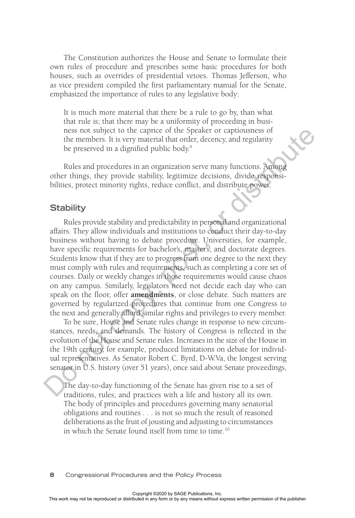The Constitution authorizes the House and Senate to formulate their own rules of procedure and prescribes some basic procedures for both houses, such as overrides of presidential vetoes. Thomas Jefferson, who as vice president compiled the first parliamentary manual for the Senate, emphasized the importance of rules to any legislative body:

It is much more material that there be a rule to go by, than what that rule is; that there may be a uniformity of proceeding in business not subject to the caprice of the Speaker or captiousness of the members. It is very material that order, decency, and regularity be preserved in a dignified public body.<sup>9</sup>

Rules and procedures in an organization serve many functions. Among other things, they provide stability, legitimize decisions, divide responsibilities, protect minority rights, reduce conflict, and distribute power.

## **Stability**

Rules provide stability and predictability in personal and organizational affairs. They allow individuals and institutions to conduct their day-to-day business without having to debate procedure. Universities, for example, have specific requirements for bachelor's, master's, and doctorate degrees. Students know that if they are to progress from one degree to the next they must comply with rules and requirements, such as completing a core set of courses. Daily or weekly changes in those requirements would cause chaos on any campus. Similarly, legislators need not decide each day who can speak on the floor, offer **amendments**, or close debate. Such matters are governed by regularized procedures that continue from one Congress to the next and generally afford similar rights and privileges to every member. ness not subject to the captice of the Speaker or captiousness of<br>the members. It is very material that order, decency, and regularity<br>be preserved in a dignified public body.<sup>9</sup><br>Rules and procedures in an organization ser

To be sure, House and Senate rules change in response to new circumstances, needs, and demands. The history of Congress is reflected in the evolution of the House and Senate rules. Increases in the size of the House in the 19th century, for example, produced limitations on debate for individual representatives. As Senator Robert C. Byrd, D-W.Va, the longest serving senator in U.S. history (over 51 years), once said about Senate proceedings,

The day-to-day functioning of the Senate has given rise to a set of traditions, rules, and practices with a life and history all its own. The body of principles and procedures governing many senatorial obligations and routines . . . is not so much the result of reasoned deliberations as the fruit of jousting and adjusting to circumstances in which the Senate found itself from time to time.<sup>10</sup>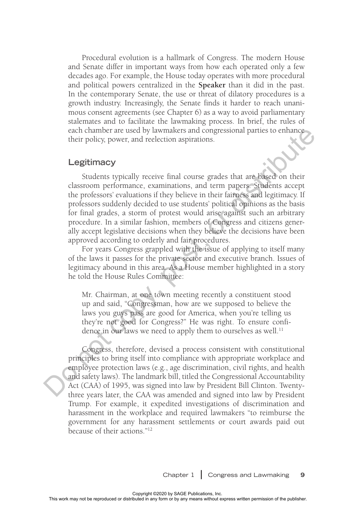Procedural evolution is a hallmark of Congress. The modern House and Senate differ in important ways from how each operated only a few decades ago. For example, the House today operates with more procedural and political powers centralized in the **Speaker** than it did in the past. In the contemporary Senate, the use or threat of dilatory procedures is a growth industry. Increasingly, the Senate finds it harder to reach unanimous consent agreements (see Chapter 6) as a way to avoid parliamentary stalemates and to facilitate the lawmaking process. In brief, the rules of each chamber are used by lawmakers and congressional parties to enhance their policy, power, and reelection aspirations.

## **Legitimacy**

Students typically receive final course grades that are based on their classroom performance, examinations, and term papers. Students accept the professors' evaluations if they believe in their fairness and legitimacy. If professors suddenly decided to use students' political opinions as the basis for final grades, a storm of protest would arise against such an arbitrary procedure. In a similar fashion, members of Congress and citizens generally accept legislative decisions when they believe the decisions have been approved according to orderly and fair procedures. each channer are used by law<br>makers and congressional parties to enhance their policy, power, and reelection aspirations.<br> **Legitimacy**<br>
Suddents stypically receive final course grades that are based on their<br>
classroom pe

For years Congress grappled with the issue of applying to itself many of the laws it passes for the private sector and executive branch. Issues of legitimacy abound in this area. As a House member highlighted in a story he told the House Rules Committee:

Mr. Chairman, at one town meeting recently a constituent stood up and said, "Congressman, how are we supposed to believe the laws you guys pass are good for America, when you're telling us they're not good for Congress?" He was right. To ensure confidence in our laws we need to apply them to ourselves as well.<sup>11</sup>

Congress, therefore, devised a process consistent with constitutional principles to bring itself into compliance with appropriate workplace and employee protection laws (e.g., age discrimination, civil rights, and health and safety laws). The landmark bill, titled the Congressional Accountability Act (CAA) of 1995, was signed into law by President Bill Clinton. Twentythree years later, the CAA was amended and signed into law by President Trump. For example, it expedited investigations of discrimination and harassment in the workplace and required lawmakers "to reimburse the government for any harassment settlements or court awards paid out because of their actions."12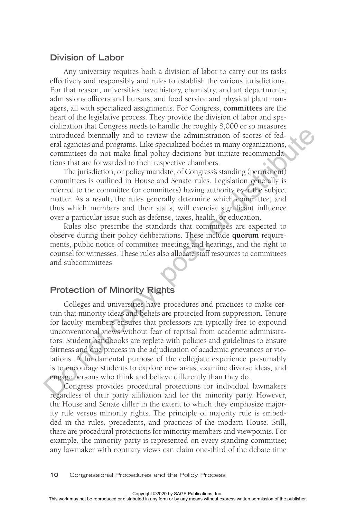# **Division of Labor**

Any university requires both a division of labor to carry out its tasks effectively and responsibly and rules to establish the various jurisdictions. For that reason, universities have history, chemistry, and art departments; admissions officers and bursars; and food service and physical plant managers, all with specialized assignments. For Congress, **committees** are the heart of the legislative process. They provide the division of labor and specialization that Congress needs to handle the roughly 8,000 or so measures introduced biennially and to review the administration of scores of federal agencies and programs. Like specialized bodies in many organizations, committees do not make final policy decisions but initiate recommendations that are forwarded to their respective chambers.

The jurisdiction, or policy mandate, of Congress's standing (permanent) committees is outlined in House and Senate rules. Legislation generally is referred to the committee (or committees) having authority over the subject matter. As a result, the rules generally determine which committee, and thus which members and their staffs, will exercise significant influence over a particular issue such as defense, taxes, health, or education.

Rules also prescribe the standards that committees are expected to observe during their policy deliberations. These include **quorum** requirements, public notice of committee meetings and hearings, and the right to counsel for witnesses. These rules also allocate staff resources to committees and subcommittees.

# **Protection of Minority Rights**

Colleges and universities have procedures and practices to make certain that minority ideas and beliefs are protected from suppression. Tenure for faculty members ensures that professors are typically free to expound unconventional views without fear of reprisal from academic administrators. Student handbooks are replete with policies and guidelines to ensure fairness and due process in the adjudication of academic grievances or violations. A fundamental purpose of the collegiate experience presumably is to encourage students to explore new areas, examine diverse ideas, and engage persons who think and believe differently than they do. Let the comparison that will be precise and progress of the comparison of scores of Ederating and the review the administration of scores of Ederation committees do not make final policy decisions but initiate recommendati

Congress provides procedural protections for individual lawmakers regardless of their party affiliation and for the minority party. However, the House and Senate differ in the extent to which they emphasize majority rule versus minority rights. The principle of majority rule is embedded in the rules, precedents, and practices of the modern House. Still, there are procedural protections for minority members and viewpoints. For example, the minority party is represented on every standing committee; any lawmaker with contrary views can claim one-third of the debate time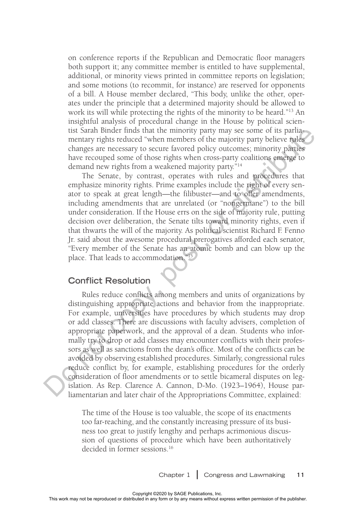on conference reports if the Republican and Democratic floor managers both support it; any committee member is entitled to have supplemental, additional, or minority views printed in committee reports on legislation; and some motions (to recommit, for instance) are reserved for opponents of a bill. A House member declared, "This body, unlike the other, operates under the principle that a determined majority should be allowed to work its will while protecting the rights of the minority to be heard."<sup>13</sup> An insightful analysis of procedural change in the House by political scientist Sarah Binder finds that the minority party may see some of its parliamentary rights reduced "when members of the majority party believe rules changes are necessary to secure favored policy outcomes; minority parties have recouped some of those rights when cross-party coalitions emerge to demand new rights from a weakened majority party."14

The Senate, by contrast, operates with rules and procedures that emphasize minority rights. Prime examples include the right of every senator to speak at great length—the filibuster—and to offer amendments, including amendments that are unrelated (or "nongermane") to the bill under consideration. If the House errs on the side of majority rule, putting decision over deliberation, the Senate tilts toward minority rights, even if that thwarts the will of the majority. As political scientist Richard F. Fenno Jr. said about the awesome procedural prerogatives afforded each senator, "Every member of the Senate has an atomic bomb and can blow up the place. That leads to accommodation."15

# **Conflict Resolution**

Rules reduce conflicts among members and units of organizations by distinguishing appropriate actions and behavior from the inappropriate. For example, universities have procedures by which students may drop or add classes. There are discussions with faculty advisers, completion of appropriate paperwork, and the approval of a dean. Students who informally try to drop or add classes may encounter conflicts with their professors as well as sanctions from the dean's office. Most of the conflicts can be avoided by observing established procedures. Similarly, congressional rules reduce conflict by, for example, establishing procedures for the orderly consideration of floor amendments or to settle bicameral disputes on legislation. As Rep. Clarence A. Cannon, D-Mo. (1923–1964), House parliamentarian and later chair of the Appropriations Committee, explained: is starah Binder Infas that the minority party may see some of its parliar<br>mentary rights reduced "when members of the majority party believe rules<br>changes are necessary to secure favored policy outcomes; minority parties<br>

> The time of the House is too valuable, the scope of its enactments too far-reaching, and the constantly increasing pressure of its business too great to justify lengthy and perhaps acrimonious discussion of questions of procedure which have been authoritatively decided in former sessions <sup>16</sup>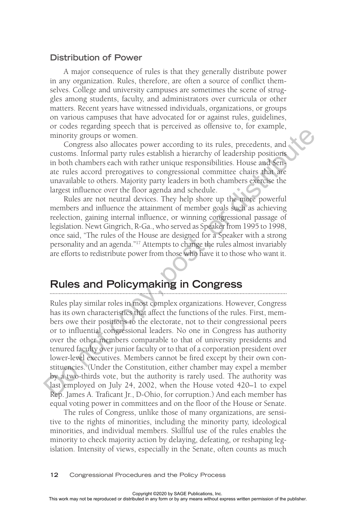# **Distribution of Power**

A major consequence of rules is that they generally distribute power in any organization. Rules, therefore, are often a source of conflict themselves. College and university campuses are sometimes the scene of struggles among students, faculty, and administrators over curricula or other matters. Recent years have witnessed individuals, organizations, or groups on various campuses that have advocated for or against rules, guidelines, or codes regarding speech that is perceived as offensive to, for example, minority groups or women.

Congress also allocates power according to its rules, precedents, and customs. Informal party rules establish a hierarchy of leadership positions in both chambers each with rather unique responsibilities. House and Senate rules accord prerogatives to congressional committee chairs that are unavailable to others. Majority party leaders in both chambers exercise the largest influence over the floor agenda and schedule.

Rules are not neutral devices. They help shore up the more powerful members and influence the attainment of member goals such as achieving reelection, gaining internal influence, or winning congressional passage of legislation. Newt Gingrich, R-Ga., who served as Speaker from 1995 to 1998, once said, "The rules of the House are designed for a Speaker with a strong personality and an agenda."17 Attempts to change the rules almost invariably are efforts to redistribute power from those who have it to those who want it.

# **Rules and Policymaking in Congress**

Rules play similar roles in most complex organizations. However, Congress has its own characteristics that affect the functions of the rules. First, members owe their positions to the electorate, not to their congressional peers or to influential congressional leaders. No one in Congress has authority over the other members comparable to that of university presidents and tenured faculty over junior faculty or to that of a corporation president over lower-level executives. Members cannot be fired except by their own constituencies. (Under the Constitution, either chamber may expel a member by a two-thirds vote, but the authority is rarely used. The authority was last employed on July 24, 2002, when the House voted 420–1 to expel Rep. James A. Traficant Jr., D-Ohio, for corruption.) And each member has equal voting power in committees and on the floor of the House or Senate. or controls and all presentations are the momentum of procedures points in<br>the minority groups or women. Congress also allocates power according to its rules, precedents, and<br>customs. Informal party rules establish a hiera

The rules of Congress, unlike those of many organizations, are sensitive to the rights of minorities, including the minority party, ideological minorities, and individual members. Skillful use of the rules enables the minority to check majority action by delaying, defeating, or reshaping legislation. Intensity of views, especially in the Senate, often counts as much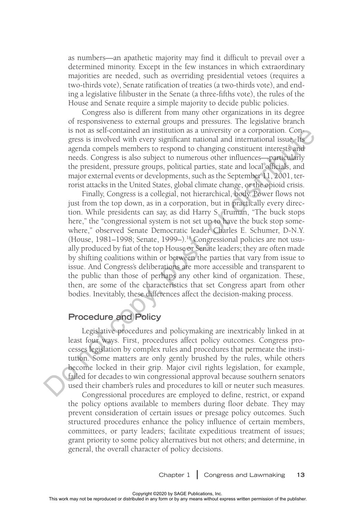as numbers—an apathetic majority may find it difficult to prevail over a determined minority. Except in the few instances in which extraordinary majorities are needed, such as overriding presidential vetoes (requires a two-thirds vote), Senate ratification of treaties (a two-thirds vote), and ending a legislative filibuster in the Senate (a three-fifths vote), the rules of the House and Senate require a simple majority to decide public policies.

Congress also is different from many other organizations in its degree of responsiveness to external groups and pressures. The legislative branch is not as self-contained an institution as a university or a corporation. Congress is involved with every significant national and international issue. Its agenda compels members to respond to changing constituent interests and needs. Congress is also subject to numerous other influences—particularly the president, pressure groups, political parties, state and local officials, and major external events or developments, such as the September 11, 2001, terrorist attacks in the United States, global climate change, or the opioid crisis.

Finally, Congress is a collegial, not hierarchical, body. Power flows not just from the top down, as in a corporation, but in practically every direction. While presidents can say, as did Harry S. Truman, "The buck stops here," the "congressional system is not set up to have the buck stop somewhere," observed Senate Democratic leader Charles E. Schumer, D-N.Y. (House,  $1981-1998$ ; Senate,  $1999-$ ).<sup>18</sup> Congressional policies are not usually produced by fiat of the top House or Senate leaders; they are often made by shifting coalitions within or between the parties that vary from issue to issue. And Congress's deliberations are more accessible and transparent to the public than those of perhaps any other kind of organization. These, then, are some of the characteristics that set Congress apart from other bodies. Inevitably, these differences affect the decision-making process. is not as self-contained an institution as a university or a corporation. Con-<br>gerss is involved with every significant national and international issue-this<br>agenda compels members to respond to changing constituent intere

# **Procedure and Policy**

Legislative procedures and policymaking are inextricably linked in at least four ways. First, procedures affect policy outcomes. Congress processes legislation by complex rules and procedures that permeate the institution. Some matters are only gently brushed by the rules, while others become locked in their grip. Major civil rights legislation, for example, failed for decades to win congressional approval because southern senators used their chamber's rules and procedures to kill or neuter such measures.

Congressional procedures are employed to define, restrict, or expand the policy options available to members during floor debate. They may prevent consideration of certain issues or presage policy outcomes. Such structured procedures enhance the policy influence of certain members, committees, or party leaders; facilitate expeditious treatment of issues; grant priority to some policy alternatives but not others; and determine, in general, the overall character of policy decisions.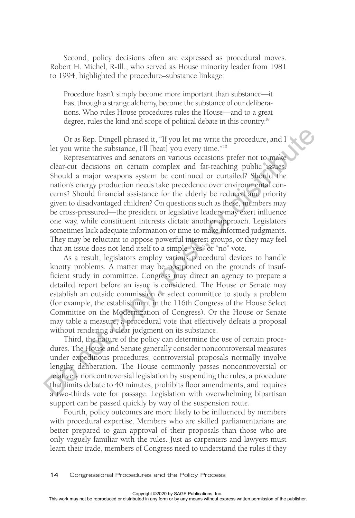Second, policy decisions often are expressed as procedural moves. Robert H. Michel, R-Ill., who served as House minority leader from 1981 to 1994, highlighted the procedure–substance linkage:

Procedure hasn't simply become more important than substance—it has, through a strange alchemy, become the substance of our deliberations. Who rules House procedures rules the House—and to a great degree, rules the kind and scope of political debate in this country.<sup>19</sup>

Or as Rep. Dingell phrased it, "If you let me write the procedure, and I let you write the substance, I'll [beat] you every time."20

Representatives and senators on various occasions prefer not to make clear-cut decisions on certain complex and far-reaching public issues. Should a major weapons system be continued or curtailed? Should the nation's energy production needs take precedence over environmental concerns? Should financial assistance for the elderly be reduced and priority given to disadvantaged children? On questions such as these, members may be cross-pressured—the president or legislative leaders may exert influence one way, while constituent interests dictate another approach. Legislators sometimes lack adequate information or time to make informed judgments. They may be reluctant to oppose powerful interest groups, or they may feel that an issue does not lend itself to a simple "yes" or "no" vote. Or as Rep. Dingell phrased it, "If you let me write the procedure, and let you write the substance, III [beat] you every time."<sup>20</sup><br>Eleca-cut decisions on cartains complex and far-reaching public light<br>clear-cut decisions

As a result, legislators employ various procedural devices to handle knotty problems. A matter may be postponed on the grounds of insufficient study in committee. Congress may direct an agency to prepare a detailed report before an issue is considered. The House or Senate may establish an outside commission or select committee to study a problem (for example, the establishment in the 116th Congress of the House Select Committee on the Modernization of Congress). Or the House or Senate may table a measure, a procedural vote that effectively defeats a proposal without rendering a clear judgment on its substance.

Third, the nature of the policy can determine the use of certain procedures. The House and Senate generally consider noncontroversial measures under expeditious procedures; controversial proposals normally involve lengthy deliberation. The House commonly passes noncontroversial or relatively noncontroversial legislation by suspending the rules, a procedure that limits debate to 40 minutes, prohibits floor amendments, and requires a two-thirds vote for passage. Legislation with overwhelming bipartisan support can be passed quickly by way of the suspension route.

Fourth, policy outcomes are more likely to be influenced by members with procedural expertise. Members who are skilled parliamentarians are better prepared to gain approval of their proposals than those who are only vaguely familiar with the rules. Just as carpenters and lawyers must learn their trade, members of Congress need to understand the rules if they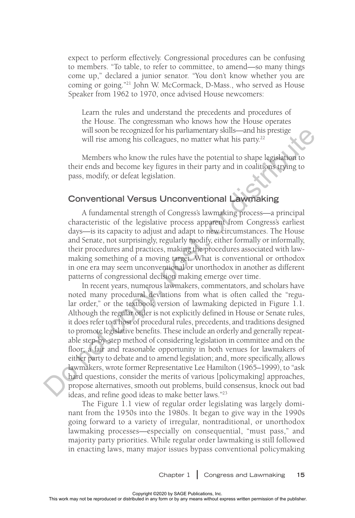expect to perform effectively. Congressional procedures can be confusing to members. "To table, to refer to committee, to amend—so many things come up," declared a junior senator. "You don't know whether you are coming or going."21 John W. McCormack, D-Mass., who served as House Speaker from 1962 to 1970, once advised House newcomers:

Learn the rules and understand the precedents and procedures of the House. The congressman who knows how the House operates will soon be recognized for his parliamentary skills—and his prestige will rise among his colleagues, no matter what his party. $22$ 

Members who know the rules have the potential to shape legislation to their ends and become key figures in their party and in coalitions trying to pass, modify, or defeat legislation.

# **Conventional Versus Unconventional Lawmaking**

A fundamental strength of Congress's lawmaking process—a principal characteristic of the legislative process apparent from Congress's earliest days—is its capacity to adjust and adapt to new circumstances. The House and Senate, not surprisingly, regularly modify, either formally or informally, their procedures and practices, making the procedures associated with lawmaking something of a moving target. What is conventional or orthodox in one era may seem unconventional or unorthodox in another as different patterns of congressional decision making emerge over time.

In recent years, numerous lawmakers, commentators, and scholars have noted many procedural deviations from what is often called the "regular order," or the textbook version of lawmaking depicted in Figure 1.1. Although the regular order is not explicitly defined in House or Senate rules, it does refer to a host of procedural rules, precedents, and traditions designed to promote legislative benefits. These include an orderly and generally repeatable step-by-step method of considering legislation in committee and on the floor; a fair and reasonable opportunity in both venues for lawmakers of either party to debate and to amend legislation; and, more specifically, allows lawmakers, wrote former Representative Lee Hamilton (1965–1999), to "ask hard questions, consider the merits of various [policymaking] approaches, propose alternatives, smooth out problems, build consensus, knock out bad ideas, and refine good ideas to make better laws."23 will soon be recognized for his parliamentary skills—and his prestige<br>will rison be recognized for his particular both and is party.<sup>22</sup><br>Members who know the rules have the potential to shape legislation to<br>their ends and

The Figure 1.1 view of regular order legislating was largely dominant from the 1950s into the 1980s. It began to give way in the 1990s going forward to a variety of irregular, nontraditional, or unorthodox lawmaking processes—especially on consequential, "must pass," and majority party priorities. While regular order lawmaking is still followed in enacting laws, many major issues bypass conventional policymaking

Copyright ©2020 by SAGE Publications, Inc.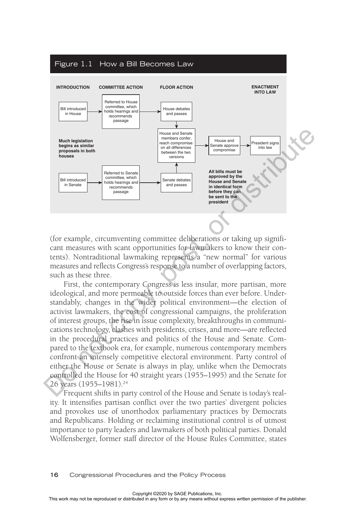

(for example, circumventing committee deliberations or taking up significant measures with scant opportunities for lawmakers to know their contents). Nontraditional lawmaking represents a "new normal" for various measures and reflects Congress's response to a number of overlapping factors, such as these three.

First, the contemporary Congress is less insular, more partisan, more ideological, and more permeable to outside forces than ever before. Understandably, changes in the wider political environment—the election of activist lawmakers, the cost of congressional campaigns, the proliferation of interest groups, the rise in issue complexity, breakthroughs in communications technology, clashes with presidents, crises, and more—are reflected in the procedural practices and politics of the House and Senate. Compared to the textbook era, for example, numerous contemporary members confront an intensely competitive electoral environment. Party control of either the House or Senate is always in play, unlike when the Democrats controlled the House for 40 straight years (1955–1995) and the Senate for 26 years (1955–1981).<sup>24</sup>

Frequent shifts in party control of the House and Senate is today's reality. It intensifies partisan conflict over the two parties' divergent policies and provokes use of unorthodox parliamentary practices by Democrats and Republicans. Holding or reclaiming institutional control is of utmost importance to party leaders and lawmakers of both political parties. Donald Wolfensberger, former staff director of the House Rules Committee, states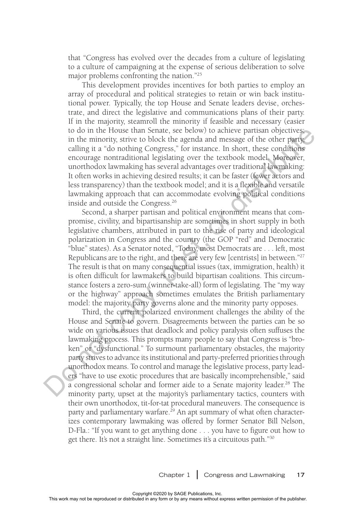that "Congress has evolved over the decades from a culture of legislating to a culture of campaigning at the expense of serious deliberation to solve major problems confronting the nation."25

This development provides incentives for both parties to employ an array of procedural and political strategies to retain or win back institutional power. Typically, the top House and Senate leaders devise, orchestrate, and direct the legislative and communications plans of their party. If in the majority, steamroll the minority if feasible and necessary (easier to do in the House than Senate, see below) to achieve partisan objectives; in the minority, strive to block the agenda and message of the other party, calling it a "do nothing Congress," for instance. In short, these conditions encourage nontraditional legislating over the textbook model. Moreover, unorthodox lawmaking has several advantages over traditional lawmaking: It often works in achieving desired results; it can be faster (fewer actors and less transparency) than the textbook model; and it is a flexible and versatile lawmaking approach that can accommodate evolving political conditions inside and outside the Congress.26

Second, a sharper partisan and political environment means that compromise, civility, and bipartisanship are sometimes in short supply in both legislative chambers, attributed in part to the rise of party and ideological polarization in Congress and the country (the GOP "red" and Democratic "blue" states). As a Senator noted, "Today, most Democrats are . . . left, most Republicans are to the right, and there are very few [centrists] in between."<sup>27</sup> The result is that on many consequential issues (tax, immigration, health) it is often difficult for lawmakers to build bipartisan coalitions. This circumstance fosters a zero-sum (winner-take-all) form of legislating. The "my way or the highway" approach sometimes emulates the British parliamentary model: the majority party governs alone and the minority party opposes. to do in the House than Senate, see below) to achieve partisan objectives;<br>in the minority, strive to block the agenda and message of the other party<br>calling it a "do nothing Congress," for instance. In short, these condi

Third, the current polarized environment challenges the ability of the House and Senate to govern. Disagreements between the parties can be so wide on various issues that deadlock and policy paralysis often suffuses the lawmaking process. This prompts many people to say that Congress is "broken" or "dysfunctional." To surmount parliamentary obstacles, the majority party strives to advance its institutional and party-preferred priorities through unorthodox means. To control and manage the legislative process, party leaders "have to use exotic procedures that are basically incomprehensible," said a congressional scholar and former aide to a Senate majority leader.<sup>28</sup> The minority party, upset at the majority's parliamentary tactics, counters with their own unorthodox, tit-for-tat procedural maneuvers. The consequence is party and parliamentary warfare.<sup>29</sup> An apt summary of what often characterizes contemporary lawmaking was offered by former Senator Bill Nelson, D-Fla.: "If you want to get anything done . . . you have to figure out how to get there. It's not a straight line. Sometimes it's a circuitous path."30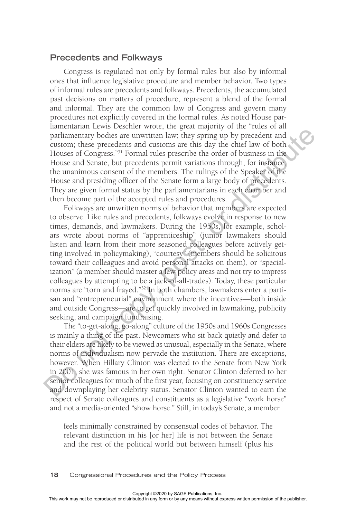## **Precedents and Folkways**

Congress is regulated not only by formal rules but also by informal ones that influence legislative procedure and member behavior. Two types of informal rules are precedents and folkways. Precedents, the accumulated past decisions on matters of procedure, represent a blend of the formal and informal. They are the common law of Congress and govern many procedures not explicitly covered in the formal rules. As noted House parliamentarian Lewis Deschler wrote, the great majority of the "rules of all parliamentary bodies are unwritten law; they spring up by precedent and custom; these precedents and customs are this day the chief law of both Houses of Congress."31 Formal rules prescribe the order of business in the House and Senate, but precedents permit variations through, for instance, the unanimous consent of the members. The rulings of the Speaker of the House and presiding officer of the Senate form a large body of precedents. They are given formal status by the parliamentarians in each chamber and then become part of the accepted rules and procedures.

Folkways are unwritten norms of behavior that members are expected to observe. Like rules and precedents, folkways evolve in response to new times, demands, and lawmakers. During the 1950s, for example, scholars wrote about norms of "apprenticeship" (junior lawmakers should listen and learn from their more seasoned colleagues before actively getting involved in policymaking), "courtesy" (members should be solicitous toward their colleagues and avoid personal attacks on them), or "specialization" (a member should master a few policy areas and not try to impress colleagues by attempting to be a jack-of-all-trades). Today, these particular norms are "torn and frayed."32 In both chambers, lawmakers enter a partisan and "entrepreneurial" environment where the incentives—both inside and outside Congress—are to get quickly involved in lawmaking, publicity seeking, and campaign fundraising. mannearing the speeches and customs are this day imaging the by speeches and parliamentary bodies are unwritten law; they spring up by precedent and customs are this day of both stributes and customs are this day if excit

The "to-get-along, go-along" culture of the 1950s and 1960s Congresses is mainly a thing of the past. Newcomers who sit back quietly and defer to their elders are likely to be viewed as unusual, especially in the Senate, where norms of individualism now pervade the institution. There are exceptions, however. When Hillary Clinton was elected to the Senate from New York in 2001, she was famous in her own right. Senator Clinton deferred to her senior colleagues for much of the first year, focusing on constituency service and downplaying her celebrity status. Senator Clinton wanted to earn the respect of Senate colleagues and constituents as a legislative "work horse" and not a media-oriented "show horse." Still, in today's Senate, a member

feels minimally constrained by consensual codes of behavior. The relevant distinction in his [or her] life is not between the Senate and the rest of the political world but between himself (plus his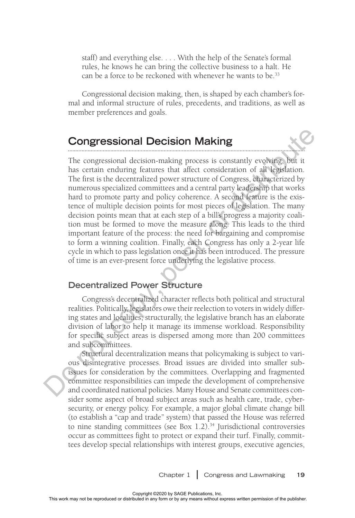staff) and everything else. . . . With the help of the Senate's formal rules, he knows he can bring the collective business to a halt. He can be a force to be reckoned with whenever he wants to be.<sup>33</sup>

Congressional decision making, then, is shaped by each chamber's formal and informal structure of rules, precedents, and traditions, as well as member preferences and goals.

# **Congressional Decision Making**

The congressional decision-making process is constantly evolving, but it has certain enduring features that affect consideration of all legislation. The first is the decentralized power structure of Congress, characterized by numerous specialized committees and a central party leadership that works hard to promote party and policy coherence. A second feature is the existence of multiple decision points for most pieces of legislation. The many decision points mean that at each step of a bill's progress a majority coalition must be formed to move the measure along. This leads to the third important feature of the process: the need for bargaining and compromise to form a winning coalition. Finally, each Congress has only a 2-year life cycle in which to pass legislation once it has been introduced. The pressure of time is an ever-present force underlying the legislative process. **Congressional Decision Making**<br>The congessional decision-making process is constantly evolving but it<br>has certain enduring features that affect consideration of all legislation.<br>The first is the decentralized power struct

# **Decentralized Power Structure**

Congress's decentralized character reflects both political and structural realities. Politically, legislators owe their reelection to voters in widely differing states and localities; structurally, the legislative branch has an elaborate division of labor to help it manage its immense workload. Responsibility for specific subject areas is dispersed among more than 200 committees and subcommittees.

Structural decentralization means that policymaking is subject to various disintegrative processes. Broad issues are divided into smaller subissues for consideration by the committees. Overlapping and fragmented committee responsibilities can impede the development of comprehensive and coordinated national policies. Many House and Senate committees consider some aspect of broad subject areas such as health care, trade, cybersecurity, or energy policy. For example, a major global climate change bill (to establish a "cap and trade" system) that passed the House was referred to nine standing committees (see Box  $1.2$ ).<sup>34</sup> Jurisdictional controversies occur as committees fight to protect or expand their turf. Finally, committees develop special relationships with interest groups, executive agencies,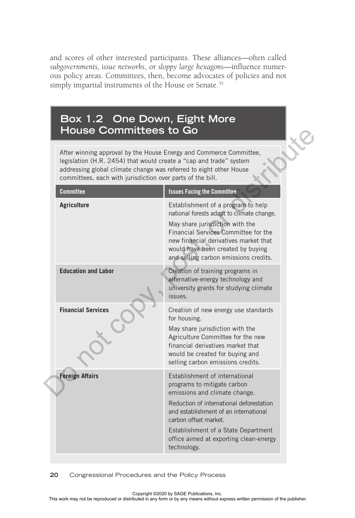and scores of other interested participants. These alliances—often called *subgovernments, issue networks*, or *sloppy large hexagons*—influence numerous policy areas. Committees, then, become advocates of policies and not simply impartial instruments of the House or Senate.<sup>35</sup>

# **Box 1.2 One Down, Eight More House Committees to Go**

| After winning approval by the House Energy and Commerce Committee,<br>legislation (H.R. 2454) that would create a "cap and trade" system<br>addressing global climate change was referred to eight other House<br>committees, each with jurisdiction over parts of the bill. |                                                                                                                                                                                                |  |  |
|------------------------------------------------------------------------------------------------------------------------------------------------------------------------------------------------------------------------------------------------------------------------------|------------------------------------------------------------------------------------------------------------------------------------------------------------------------------------------------|--|--|
|                                                                                                                                                                                                                                                                              |                                                                                                                                                                                                |  |  |
| <b>Agriculture</b>                                                                                                                                                                                                                                                           | Establishment of a program to help<br>national forests adapt to climate change.                                                                                                                |  |  |
|                                                                                                                                                                                                                                                                              | May share jurisdiction with the<br>Financial Services Committee for the<br>new financial derivatives market that<br>would have been created by buying<br>and selling carbon emissions credits. |  |  |
| <b>Education and Labor</b>                                                                                                                                                                                                                                                   | Creation of training programs in<br>alternative-energy technology and<br>university grants for studying climate<br>issues.                                                                     |  |  |
| <b>Financial Services</b>                                                                                                                                                                                                                                                    | Creation of new energy use standards<br>for housing.                                                                                                                                           |  |  |
|                                                                                                                                                                                                                                                                              | May share jurisdiction with the<br>Agriculture Committee for the new<br>financial derivatives market that<br>would be created for buying and<br>selling carbon emissions credits.              |  |  |
| <b>Foreign Affairs</b>                                                                                                                                                                                                                                                       | Establishment of international<br>programs to mitigate carbon<br>emissions and climate change.                                                                                                 |  |  |
|                                                                                                                                                                                                                                                                              | Reduction of international deforestation<br>and establishment of an international<br>carbon offset market.                                                                                     |  |  |
|                                                                                                                                                                                                                                                                              | Establishment of a State Department<br>office aimed at exporting clean-energy<br>technology.                                                                                                   |  |  |

#### **20** Congressional Procedures and the Policy Process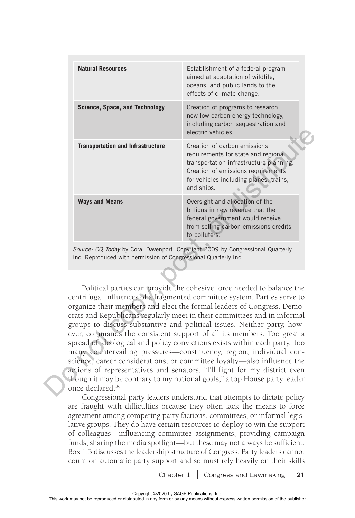| <b>Natural Resources</b>                                                                                                                          | Establishment of a federal program<br>aimed at adaptation of wildlife,<br>oceans, and public lands to the<br>effects of climate change.                                                                                                                                                                                                                                                                                                                                                                                                                                                                                                                                                                                                                                    |
|---------------------------------------------------------------------------------------------------------------------------------------------------|----------------------------------------------------------------------------------------------------------------------------------------------------------------------------------------------------------------------------------------------------------------------------------------------------------------------------------------------------------------------------------------------------------------------------------------------------------------------------------------------------------------------------------------------------------------------------------------------------------------------------------------------------------------------------------------------------------------------------------------------------------------------------|
| Science, Space, and Technology                                                                                                                    | Creation of programs to research<br>new low-carbon energy technology,<br>including carbon sequestration and<br>electric vehicles.                                                                                                                                                                                                                                                                                                                                                                                                                                                                                                                                                                                                                                          |
| <b>Transportation and Infrastructure</b>                                                                                                          | Creation of carbon emissions<br>requirements for state and regional<br>transportation infrastructure planning.<br>Creation of emissions requirements<br>for vehicles including planes, trains,<br>and ships.                                                                                                                                                                                                                                                                                                                                                                                                                                                                                                                                                               |
| <b>Ways and Means</b>                                                                                                                             | Oversight and allocation of the<br>billions in new revenue that the<br>federal government would receive<br>from selling carbon emissions credits<br>to polluters.                                                                                                                                                                                                                                                                                                                                                                                                                                                                                                                                                                                                          |
| Source: CQ Today by Coral Davenport. Copyright 2009 by Congressional Quarterly<br>Inc. Reproduced with permission of Congressional Quarterly Inc. |                                                                                                                                                                                                                                                                                                                                                                                                                                                                                                                                                                                                                                                                                                                                                                            |
|                                                                                                                                                   | Political parties can provide the cohesive force needed to balance the<br>centrifugal influences of a fragmented committee system. Parties serve to<br>organize their members and elect the formal leaders of Congress. Demo-<br>crats and Republicans regularly meet in their committees and in informal<br>groups to discuss substantive and political issues. Neither party, how-<br>ever, commands the consistent support of all its members. Too great a<br>spread of ideological and policy convictions exists within each party. Too<br>many countervailing pressures-constituency, region, individual con-<br>science, career considerations, or committee loyalty-also influence the<br>actions of representatives and senators. "I'll fight for my district even |

Congressional party leaders understand that attempts to dictate policy are fraught with difficulties because they often lack the means to force agreement among competing party factions, committees, or informal legislative groups. They do have certain resources to deploy to win the support of colleagues—influencing committee assignments, providing campaign funds, sharing the media spotlight—but these may not always be sufficient. Box 1.3 discusses the leadership structure of Congress. Party leaders cannot count on automatic party support and so must rely heavily on their skills

Chapter 1 **|** Congress and Lawmaking **<sup>21</sup>**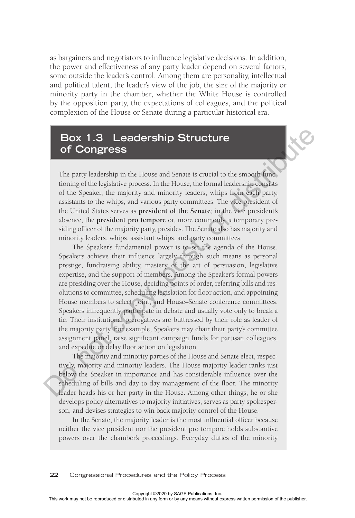as bargainers and negotiators to influence legislative decisions. In addition, the power and effectiveness of any party leader depend on several factors, some outside the leader's control. Among them are personality, intellectual and political talent, the leader's view of the job, the size of the majority or minority party in the chamber, whether the White House is controlled by the opposition party, the expectations of colleagues, and the political complexion of the House or Senate during a particular historical era.

# **Box 1.3 Leadership Structure of Congress**

The party leadership in the House and Senate is crucial to the smooth functioning of the legislative process. In the House, the formal leadership consists of the Speaker, the majority and minority leaders, whips from each party, assistants to the whips, and various party committees. The vice president of the United States serves as **president of the Senate**; in the vice president's absence, the **president pro tempore** or, more commonly, a temporary presiding officer of the majority party, presides. The Senate also has majority and minority leaders, whips, assistant whips, and party committees.

The Speaker's fundamental power is to set the agenda of the House. Speakers achieve their influence largely through such means as personal prestige, fundraising ability, mastery of the art of persuasion, legislative expertise, and the support of members. Among the Speaker's formal powers are presiding over the House, deciding points of order, referring bills and resolutions to committee, scheduling legislation for floor action, and appointing House members to select, joint, and House–Senate conference committees. Speakers infrequently participate in debate and usually vote only to break a tie. Their institutional prerogatives are buttressed by their role as leader of the majority party. For example, Speakers may chair their party's committee assignment panel, raise significant campaign funds for partisan colleagues, and expedite or delay floor action on legislation. **EXECT: CONSULTER CONSULTERT CONSULTERT CONSULTERT CONSULTERT THE party leadership in the House and Senate is crucial to the smooth functioning of the legislative process. In the House, the formal leadership couplists of t** 

The majority and minority parties of the House and Senate elect, respectively, majority and minority leaders. The House majority leader ranks just below the Speaker in importance and has considerable influence over the scheduling of bills and day-to-day management of the floor. The minority leader heads his or her party in the House. Among other things, he or she develops policy alternatives to majority initiatives, serves as party spokesperson, and devises strategies to win back majority control of the House.

In the Senate, the majority leader is the most influential officer because neither the vice president nor the president pro tempore holds substantive powers over the chamber's proceedings. Everyday duties of the minority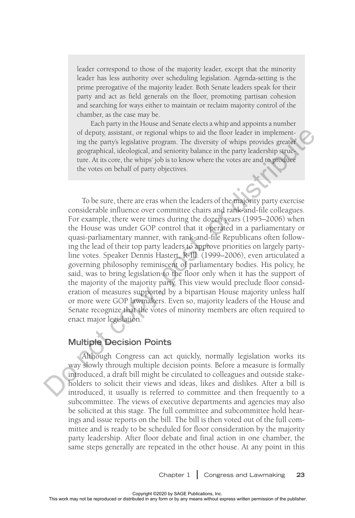leader correspond to those of the majority leader, except that the minority leader has less authority over scheduling legislation. Agenda-setting is the prime prerogative of the majority leader. Both Senate leaders speak for their party and act as field generals on the floor, promoting partisan cohesion and searching for ways either to maintain or reclaim majority control of the chamber, as the case may be.

Each party in the House and Senate elects a whip and appoints a number of deputy, assistant, or regional whips to aid the floor leader in implementing the party's legislative program. The diversity of whips provides greater geographical, ideological, and seniority balance in the party leadership structure. At its core, the whips' job is to know where the votes are and to produce the votes on behalf of party objectives.

To be sure, there are eras when the leaders of the majority party exercise considerable influence over committee chairs and rank-and-file colleagues. For example, there were times during the dozen years (1995–2006) when the House was under GOP control that it operated in a parliamentary or quasi-parliamentary manner, with rank-and-file Republicans often following the lead of their top party leaders to approve priorities on largely partyline votes. Speaker Dennis Hastert, R-Ill. (1999–2006), even articulated a governing philosophy reminiscent of parliamentary bodies. His policy, he said, was to bring legislation to the floor only when it has the support of the majority of the majority party. This view would preclude floor consideration of measures supported by a bipartisan House majority unless half or more were GOP lawmakers. Even so, majority leaders of the House and Senate recognize that the votes of minority members are often required to enact major legislation. of deputy, assistant, or regional whips to aid the floor leader in implement<br>ing the party's legislative program. The diversity of whips provides genealized,<br>geographical, ideological, and seniority balance in the party le

# **Multiple Decision Points**

Although Congress can act quickly, normally legislation works its way slowly through multiple decision points. Before a measure is formally introduced, a draft bill might be circulated to colleagues and outside stakeholders to solicit their views and ideas, likes and dislikes. After a bill is introduced, it usually is referred to committee and then frequently to a subcommittee. The views of executive departments and agencies may also be solicited at this stage. The full committee and subcommittee hold hearings and issue reports on the bill. The bill is then voted out of the full committee and is ready to be scheduled for floor consideration by the majority party leadership. After floor debate and final action in one chamber, the same steps generally are repeated in the other house. At any point in this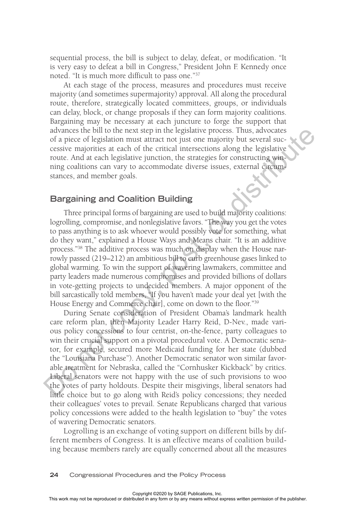sequential process, the bill is subject to delay, defeat, or modification. "It is very easy to defeat a bill in Congress," President John F. Kennedy once noted. "It is much more difficult to pass one."37

At each stage of the process, measures and procedures must receive majority (and sometimes supermajority) approval. All along the procedural route, therefore, strategically located committees, groups, or individuals can delay, block, or change proposals if they can form majority coalitions. Bargaining may be necessary at each juncture to forge the support that advances the bill to the next step in the legislative process. Thus, advocates of a piece of legislation must attract not just one majority but several successive majorities at each of the critical intersections along the legislative route. And at each legislative junction, the strategies for constructing winning coalitions can vary to accommodate diverse issues, external circumstances, and member goals.

# **Bargaining and Coalition Building**

Three principal forms of bargaining are used to build majority coalitions: logrolling, compromise, and nonlegislative favors. "The way you get the votes to pass anything is to ask whoever would possibly vote for something, what do they want," explained a House Ways and Means chair. "It is an additive process."38 The additive process was much on display when the House narrowly passed (219–212) an ambitious bill to curb greenhouse gases linked to global warming. To win the support of wavering lawmakers, committee and party leaders made numerous compromises and provided billions of dollars in vote-getting projects to undecided members. A major opponent of the bill sarcastically told members, "If you haven't made your deal yet [with the House Energy and Commerce chair], come on down to the floor."39 advances the bill to the next step in the legislative process. Thus, advocates<br>are also also also fail to the exist of a piece of egislation must attract not just one majority but several suc-<br>cessive majorities at each of

During Senate consideration of President Obama's landmark health care reform plan, then Majority Leader Harry Reid, D-Nev., made various policy concessions to four centrist, on-the-fence, party colleagues to win their crucial support on a pivotal procedural vote. A Democratic senator, for example, secured more Medicaid funding for her state (dubbed the "Louisiana Purchase"). Another Democratic senator won similar favorable treatment for Nebraska, called the "Cornhusker Kickback" by critics. Liberal senators were not happy with the use of such provisions to woo the votes of party holdouts. Despite their misgivings, liberal senators had little choice but to go along with Reid's policy concessions; they needed their colleagues' votes to prevail. Senate Republicans charged that various policy concessions were added to the health legislation to "buy" the votes of wavering Democratic senators.

Logrolling is an exchange of voting support on different bills by different members of Congress. It is an effective means of coalition building because members rarely are equally concerned about all the measures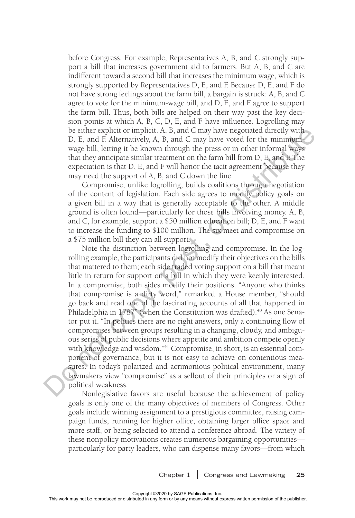before Congress. For example, Representatives A, B, and C strongly support a bill that increases government aid to farmers. But A, B, and C are indifferent toward a second bill that increases the minimum wage, which is strongly supported by Representatives D, E, and F. Because D, E, and F do not have strong feelings about the farm bill, a bargain is struck: A, B, and C agree to vote for the minimum-wage bill, and D, E, and F agree to support the farm bill. Thus, both bills are helped on their way past the key decision points at which A, B, C, D, E, and F have influence. Logrolling may be either explicit or implicit. A, B, and C may have negotiated directly with D, E, and F. Alternatively, A, B, and C may have voted for the minimumwage bill, letting it be known through the press or in other informal ways that they anticipate similar treatment on the farm bill from D, E, and F. The expectation is that D, E, and F will honor the tacit agreement because they may need the support of A, B, and C down the line.

Compromise, unlike logrolling, builds coalitions through negotiation of the content of legislation. Each side agrees to modify policy goals on a given bill in a way that is generally acceptable to the other. A middle ground is often found—particularly for those bills involving money. A, B, and C, for example, support a \$50 million education bill; D, E, and F want to increase the funding to \$100 million. The six meet and compromise on a \$75 million bill they can all support.

Note the distinction between logrolling and compromise. In the logrolling example, the participants did not modify their objectives on the bills that mattered to them; each side traded voting support on a bill that meant little in return for support on a bill in which they were keenly interested. In a compromise, both sides modify their positions. "Anyone who thinks that compromise is a dirty word," remarked a House member, "should go back and read one of the fascinating accounts of all that happened in Philadelphia in 1787" (when the Constitution was drafted).<sup>40</sup> As one Senator put it, "In politics there are no right answers, only a continuing flow of compromises between groups resulting in a changing, cloudy, and ambiguous series of public decisions where appetite and ambition compete openly with knowledge and wisdom."<sup>41</sup> Compromise, in short, is an essential component of governance, but it is not easy to achieve on contentious measures. In today's polarized and acrimonious political environment, many lawmakers view "compromise" as a sellout of their principles or a sign of political weakness. be either explicit or implicit. A, B, and C may have regotated dreedly with  $D$ , E, and F. Alternatively, A, B, and C may have voted for the minimum wage bill, letting it be known through the press or in other informal wa

Nonlegislative favors are useful because the achievement of policy goals is only one of the many objectives of members of Congress. Other goals include winning assignment to a prestigious committee, raising campaign funds, running for higher office, obtaining larger office space and more staff, or being selected to attend a conference abroad. The variety of these nonpolicy motivations creates numerous bargaining opportunities particularly for party leaders, who can dispense many favors—from which

Copyright ©2020 by SAGE Publications, Inc.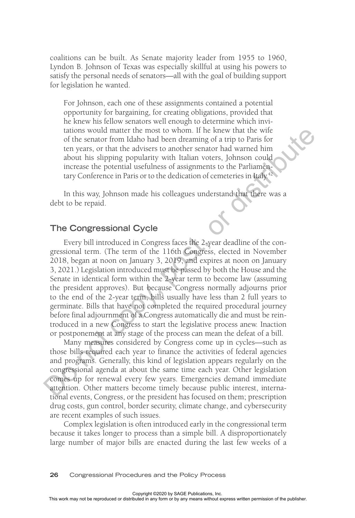coalitions can be built. As Senate majority leader from 1955 to 1960, Lyndon B. Johnson of Texas was especially skillful at using his powers to satisfy the personal needs of senators—all with the goal of building support for legislation he wanted.

For Johnson, each one of these assignments contained a potential opportunity for bargaining, for creating obligations, provided that he knew his fellow senators well enough to determine which invitations would matter the most to whom. If he knew that the wife of the senator from Idaho had been dreaming of a trip to Paris for ten years, or that the advisers to another senator had warned him about his slipping popularity with Italian voters, Johnson could increase the potential usefulness of assignments to the Parliamentary Conference in Paris or to the dedication of cemeteries in Italy.<sup>42</sup>

In this way, Johnson made his colleagues understand that there was a debt to be repaid.

## **The Congressional Cycle**

Every bill introduced in Congress faces the 2-year deadline of the congressional term. (The term of the 116th Congress, elected in November 2018, began at noon on January 3, 2019, and expires at noon on January 3, 2021.) Legislation introduced must be passed by both the House and the Senate in identical form within the 2-year term to become law (assuming the president approves). But because Congress normally adjourns prior to the end of the 2-year term, bills usually have less than 2 full years to germinate. Bills that have not completed the required procedural journey before final adjournment of a Congress automatically die and must be reintroduced in a new Congress to start the legislative process anew. Inaction or postponement at any stage of the process can mean the defeat of a bill. ations would matter the most to whom. If he knew that the wife<br>
of the senator from lidab had been dreaming of a trip to Paris for<br>
ten years, or that the advisers to another senator had warned him<br>
about his shipping pop

Many measures considered by Congress come up in cycles—such as those bills required each year to finance the activities of federal agencies and programs. Generally, this kind of legislation appears regularly on the congressional agenda at about the same time each year. Other legislation comes up for renewal every few years. Emergencies demand immediate attention. Other matters become timely because public interest, international events, Congress, or the president has focused on them; prescription drug costs, gun control, border security, climate change, and cybersecurity are recent examples of such issues.

Complex legislation is often introduced early in the congressional term because it takes longer to process than a simple bill. A disproportionately large number of major bills are enacted during the last few weeks of a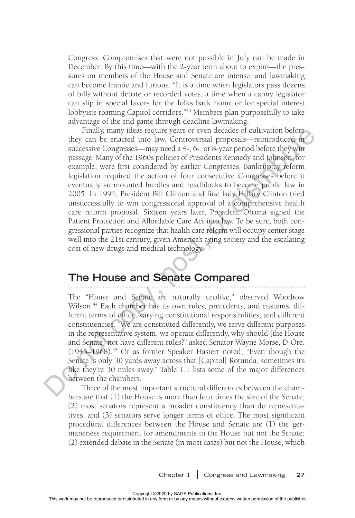Congress. Compromises that were not possible in July can be made in December. By this time—with the 2-year term about to expire—the pressures on members of the House and Senate are intense, and lawmaking can become frantic and furious. "It is a time when legislators pass dozens of bills without debate or recorded votes, a time when a canny legislator can slip in special favors for the folks back home or for special interest lobbyists roaming Capitol corridors."43 Members plan purposefully to take advantage of the end game through deadline lawmaking.

Finally, many ideas require years or even decades of cultivation before they can be enacted into law. Controversial proposals—reintroduced in successive Congresses—may need a 4-, 6-, or 8-year period before they win passage. Many of the 1960s policies of Presidents Kennedy and Johnson, for example, were first considered by earlier Congresses. Bankruptcy reform legislation required the action of four consecutive Congresses before it eventually surmounted hurdles and roadblocks to become public law in 2005. In 1994, President Bill Clinton and first lady Hillary Clinton tried unsuccessfully to win congressional approval of a comprehensive health care reform proposal. Sixteen years later, President Obama signed the Patient Protection and Affordable Care Act into law. To be sure, both congressional parties recognize that health care reform will occupy center stage well into the 21st century, given America's aging society and the escalating cost of new drugs and medical technology. Finally, many ideas require years or even decades of cultivation belong<br>they can be enacted into law. Controversial proposals—reintroduced in<br>successive Congresses—may need a 4, 6-, or 8-year period before they win<br>passag

# **The House and Senate Compared**

The "House and Senate are naturally unalike," observed Woodrow Wilson.<sup>44</sup> Each chamber has its own rules, precedents, and customs; different terms of office; varying constitutional responsibilities; and different constituencies. "We are constituted differently, we serve different purposes in the representative system, we operate differently, why should [the House and Senate] not have different rules?" asked Senator Wayne Morse, D-Ore.  $(1945–1968).$ <sup>45</sup> Or as former Speaker Hastert noted, "Even though the Senate is only 30 yards away across that [Capitol] Rotunda, sometimes it's like they're 30 miles away." Table 1.1 lists some of the major differences between the chambers.

Three of the most important structural differences between the chambers are that (1) the House is more than four times the size of the Senate, (2) most senators represent a broader constituency than do representatives, and (3) senators serve longer terms of office. The most significant procedural differences between the House and Senate are (1) the germaneness requirement for amendments in the House but not the Senate; (2) extended debate in the Senate (in most cases) but not the House, which

Copyright ©2020 by SAGE Publications, Inc.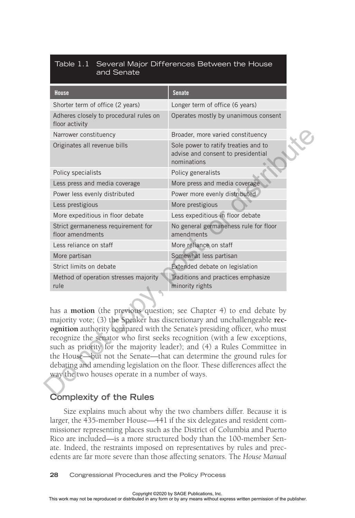# Table 1.1 Several Major Differences Between the House and Senate

| <b>House</b>                                             | <b>Senate</b>                                                                                                                                                                                                                                                                                                                                                                                                                                                                                                                                         |
|----------------------------------------------------------|-------------------------------------------------------------------------------------------------------------------------------------------------------------------------------------------------------------------------------------------------------------------------------------------------------------------------------------------------------------------------------------------------------------------------------------------------------------------------------------------------------------------------------------------------------|
| Shorter term of office (2 years)                         | Longer term of office (6 years)                                                                                                                                                                                                                                                                                                                                                                                                                                                                                                                       |
| Adheres closely to procedural rules on<br>floor activity | Operates mostly by unanimous consent                                                                                                                                                                                                                                                                                                                                                                                                                                                                                                                  |
| Narrower constituency                                    | Broader, more varied constituency                                                                                                                                                                                                                                                                                                                                                                                                                                                                                                                     |
| Originates all revenue bills                             | Sole power to ratify treaties and to<br>advise and consent to presidential<br>nominations                                                                                                                                                                                                                                                                                                                                                                                                                                                             |
| Policy specialists                                       | Policy generalists                                                                                                                                                                                                                                                                                                                                                                                                                                                                                                                                    |
| Less press and media coverage                            | More press and media coverage                                                                                                                                                                                                                                                                                                                                                                                                                                                                                                                         |
| Power less evenly distributed                            | Power more evenly distributed                                                                                                                                                                                                                                                                                                                                                                                                                                                                                                                         |
| Less prestigious                                         | More prestigious                                                                                                                                                                                                                                                                                                                                                                                                                                                                                                                                      |
| More expeditious in floor debate                         | Less expeditious in floor debate                                                                                                                                                                                                                                                                                                                                                                                                                                                                                                                      |
| Strict germaneness requirement for<br>floor amendments   | No general germaneness rule for floor<br>amendments                                                                                                                                                                                                                                                                                                                                                                                                                                                                                                   |
| Less reliance on staff                                   | More reliance on staff                                                                                                                                                                                                                                                                                                                                                                                                                                                                                                                                |
| More partisan                                            | Somewhat less partisan                                                                                                                                                                                                                                                                                                                                                                                                                                                                                                                                |
| Strict limits on debate                                  | Extended debate on legislation                                                                                                                                                                                                                                                                                                                                                                                                                                                                                                                        |
| Method of operation stresses majority<br>rule            | Traditions and practices emphasize<br>minority rights                                                                                                                                                                                                                                                                                                                                                                                                                                                                                                 |
| way the two houses operate in a number of ways.          | has a <b>motion</b> (the previous question; see Chapter 4) to end debate by<br>majority vote; (3) the Speaker has discretionary and unchallengeable rec-<br>ognition authority compared with the Senate's presiding officer, who must<br>recognize the senator who first seeks recognition (with a few exceptions,<br>such as priority for the majority leader); and (4) a Rules Committee in<br>the House-but not the Senate-that can determine the ground rules for<br>debating and amending legislation on the floor. These differences affect the |
| spoplayity of the Dules                                  |                                                                                                                                                                                                                                                                                                                                                                                                                                                                                                                                                       |

# **Complexity of the Rules**

Size explains much about why the two chambers differ. Because it is larger, the 435-member House—441 if the six delegates and resident commissioner representing places such as the District of Columbia and Puerto Rico are included—is a more structured body than the 100-member Senate. Indeed, the restraints imposed on representatives by rules and precedents are far more severe than those affecting senators. The *House Manual*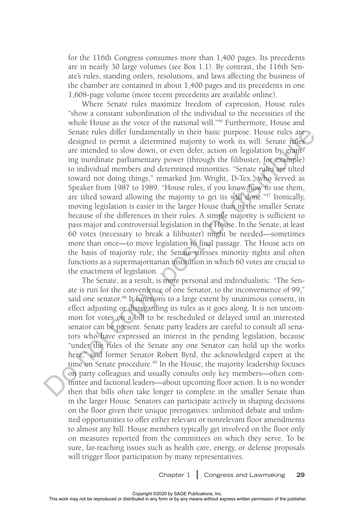for the 116th Congress consumes more than 1,400 pages. Its precedents are in nearly 30 large volumes (see Box 1.1). By contrast, the 116th Senate's rules, standing orders, resolutions, and laws affecting the business of the chamber are contained in about 1,400 pages and its precedents in one 1,608-page volume (more recent precedents are available online).

Where Senate rules maximize freedom of expression, House rules "show a constant subordination of the individual to the necessities of the whole House as the voice of the national will."<sup>46</sup> Furthermore. House and Senate rules differ fundamentally in their basic purpose. House rules are designed to permit a determined majority to work its will. Senate rules are intended to slow down, or even defer, action on legislation by granting inordinate parliamentary power (through the filibuster, for example) to individual members and determined minorities. "Senate rules are tilted toward not doing things," remarked Jim Wright, D-Tex., who served as Speaker from 1987 to 1989. "House rules, if you know how to use them, are tilted toward allowing the majority to get its will done."<sup>47</sup> Ironically, moving legislation is easier in the larger House than in the smaller Senate because of the differences in their rules. A simple majority is sufficient to pass major and controversial legislation in the House. In the Senate, at least 60 votes (necessary to break a filibuster) might be needed—sometimes more than once—to move legislation to final passage. The House acts on the basis of majority rule; the Senate stresses minority rights and often functions as a supermajoritarian institution in which 60 votes are crucial to the enactment of legislation. Senate rules differ fundamentally in their basic purpose. House rules are<br>designed to permit a determined majority to work its will. Senate rules<br>are intended to slow down, or even defer, action on legislation by granit-<br>

The Senate, as a result, is more personal and individualistic. "The Senate is run for the convenience of one Senator, to the inconvenience of 99," said one senator.<sup>48</sup> It functions to a large extent by unanimous consent, in effect adjusting or disregarding its rules as it goes along. It is not uncommon for votes on a bill to be rescheduled or delayed until an interested senator can be present. Senate party leaders are careful to consult all senators who have expressed an interest in the pending legislation, because "under the rules of the Senate any one Senator can hold up the works here," said former Senator Robert Byrd, the acknowledged expert at the time on Senate procedure.<sup>49</sup> In the House, the majority leadership focuses on party colleagues and usually consults only key members—often committee and factional leaders—about upcoming floor action. It is no wonder then that bills often take longer to complete in the smaller Senate than in the larger House. Senators can participate actively in shaping decisions on the floor given their unique prerogatives: unlimited debate and unlimited opportunities to offer either relevant or nonrelevant floor amendments to almost any bill. House members typically get involved on the floor only on measures reported from the committees on which they serve. To be sure, far-reaching issues such as health care, energy, or defense proposals will trigger floor participation by many representatives.

Chapter 1 **|** Congress and Lawmaking **<sup>29</sup>**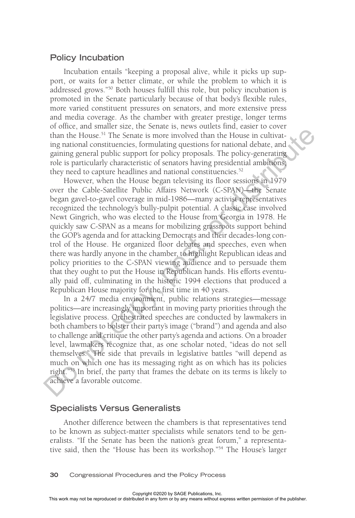## **Policy Incubation**

Incubation entails "keeping a proposal alive, while it picks up support, or waits for a better climate, or while the problem to which it is addressed grows."50 Both houses fulfill this role, but policy incubation is promoted in the Senate particularly because of that body's flexible rules, more varied constituent pressures on senators, and more extensive press and media coverage. As the chamber with greater prestige, longer terms of office, and smaller size, the Senate is, news outlets find, easier to cover than the House.51 The Senate is more involved than the House in cultivating national constituencies, formulating questions for national debate, and gaining general public support for policy proposals. The policy-generating role is particularly characteristic of senators having presidential ambitions; they need to capture headlines and national constituencies.<sup>52</sup>

However, when the House began televising its floor sessions in 1979 over the Cable-Satellite Public Affairs Network (C-SPAN)—the Senate began gavel-to-gavel coverage in mid-1986—many activist representatives recognized the technology's bully-pulpit potential. A classic case involved Newt Gingrich, who was elected to the House from Georgia in 1978. He quickly saw C-SPAN as a means for mobilizing grassroots support behind the GOP's agenda and for attacking Democrats and their decades-long control of the House. He organized floor debates and speeches, even when there was hardly anyone in the chamber, to highlight Republican ideas and policy priorities to the C-SPAN viewing audience and to persuade them that they ought to put the House in Republican hands. His efforts eventually paid off, culminating in the historic 1994 elections that produced a Republican House majority for the first time in 40 years. o none than the House. The Senate is more involved than the House in cultivar-<br>than the House.<sup>91</sup> The Senate is more involved than the House in cultivar-<br>ing national debate, and the support for policy proposals. The poli

In a 24/7 media environment, public relations strategies—message politics—are increasingly important in moving party priorities through the legislative process. Orchestrated speeches are conducted by lawmakers in both chambers to bolster their party's image ("brand") and agenda and also to challenge and critique the other party's agenda and actions. On a broader level, lawmakers recognize that, as one scholar noted, "ideas do not sell themselves." The side that prevails in legislative battles "will depend as much on which one has its messaging right as on which has its policies right."53 In brief, the party that frames the debate on its terms is likely to achieve a favorable outcome.

## **Specialists Versus Generalists**

Another difference between the chambers is that representatives tend to be known as subject-matter specialists while senators tend to be generalists. "If the Senate has been the nation's great forum," a representative said, then the "House has been its workshop."54 The House's larger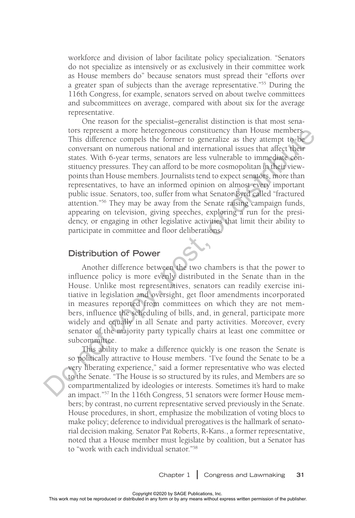workforce and division of labor facilitate policy specialization. "Senators do not specialize as intensively or as exclusively in their committee work as House members do" because senators must spread their "efforts over a greater span of subjects than the average representative."55 During the 116th Congress, for example, senators served on about twelve committees and subcommittees on average, compared with about six for the average representative.

One reason for the specialist–generalist distinction is that most senators represent a more heterogeneous constituency than House members. This difference compels the former to generalize as they attempt to be conversant on numerous national and international issues that affect their states. With 6-year terms, senators are less vulnerable to immediate constituency pressures. They can afford to be more cosmopolitan in their viewpoints than House members. Journalists tend to expect senators, more than representatives, to have an informed opinion on almost every important public issue. Senators, too, suffer from what Senator Byrd called "fractured attention."56 They may be away from the Senate raising campaign funds, appearing on television, giving speeches, exploring a run for the presidency, or engaging in other legislative activities that limit their ability to participate in committee and floor deliberations. tors represent a more heterogeneous constituency than House members<br>This difference comples the former to generalize as they attempt to<br>be conversant on numerous national and international issues that affect their<br>states.

# **Distribution of Power**

Another difference between the two chambers is that the power to influence policy is more evenly distributed in the Senate than in the House. Unlike most representatives, senators can readily exercise initiative in legislation and oversight, get floor amendments incorporated in measures reported from committees on which they are not members, influence the scheduling of bills, and, in general, participate more widely and equally in all Senate and party activities. Moreover, every senator of the majority party typically chairs at least one committee or subcommittee.

This ability to make a difference quickly is one reason the Senate is so politically attractive to House members. "I've found the Senate to be a very liberating experience," said a former representative who was elected to the Senate. "The House is so structured by its rules, and Members are so compartmentalized by ideologies or interests. Sometimes it's hard to make an impact."57 In the 116th Congress, 51 senators were former House members; by contrast, no current representative served previously in the Senate. House procedures, in short, emphasize the mobilization of voting blocs to make policy; deference to individual prerogatives is the hallmark of senatorial decision making. Senator Pat Roberts, R-Kans., a former representative, noted that a House member must legislate by coalition, but a Senator has to "work with each individual senator."<sup>58</sup>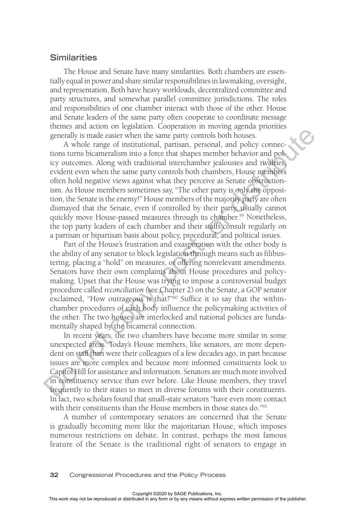# **Similarities**

The House and Senate have many similarities. Both chambers are essentially equal in power and share similar responsibilities in lawmaking, oversight, and representation. Both have heavy workloads, decentralized committee and party structures, and somewhat parallel committee jurisdictions. The roles and responsibilities of one chamber interact with those of the other. House and Senate leaders of the same party often cooperate to coordinate message themes and action on legislation. Cooperation in moving agenda priorities generally is made easier when the same party controls both houses.

A whole range of institutional, partisan, personal, and policy connections turns bicameralism into a force that shapes member behavior and policy outcomes. Along with traditional interchamber jealousies and rivalries, evident even when the same party controls both chambers, House members often hold negative views against what they perceive as Senate obstructionism. As House members sometimes say, "The other party is only the opposition, the Senate is the enemy!" House members of the majority party are often dismayed that the Senate, even if controlled by their party, usually cannot quickly move House-passed measures through its chamber.<sup>59</sup> Nonetheless, the top party leaders of each chamber and their staffs consult regularly on a partisan or bipartisan basis about policy, procedural, and political issues. enerally is made calculated in the contrained in the control of whole range of institutional, partisan, personal, and policy connections turns bicameralism into a force that shapes member behavior and policy contours. Alo

Part of the House's frustration and exasperation with the other body is the ability of any senator to block legislation through means such as filibustering, placing a "hold" on measures, or offering nonrelevant amendments. Senators have their own complaints about House procedures and policymaking. Upset that the House was trying to impose a controversial budget procedure called *reconciliation* (see Chapter 2) on the Senate, a GOP senator exclaimed, "How outrageous is that?"<sup>60</sup> Suffice it to say that the withinchamber procedures of each body influence the policymaking activities of the other. The two houses are interlocked and national policies are fundamentally shaped by the bicameral connection.

In recent years, the two chambers have become more similar in some unexpected areas. Today's House members, like senators, are more dependent on staff than were their colleagues of a few decades ago, in part because issues are more complex and because more informed constituents look to Capitol Hill for assistance and information. Senators are much more involved in constituency service than ever before. Like House members, they travel frequently to their states to meet in diverse forums with their constituents. In fact, two scholars found that small-state senators "have even more contact with their constituents than the House members in those states do."<sup>61</sup>

A number of contemporary senators are concerned that the Senate is gradually becoming more like the majoritarian House, which imposes numerous restrictions on debate. In contrast, perhaps the most famous feature of the Senate is the traditional right of senators to engage in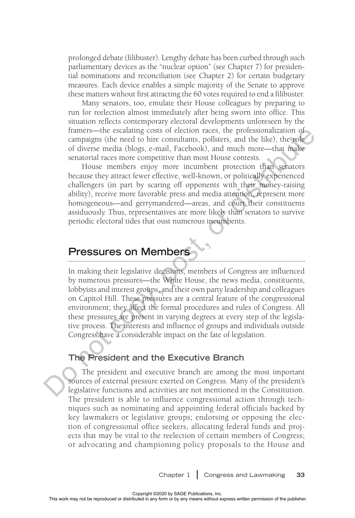prolonged debate (filibuster). Lengthy debate has been curbed through such parliamentary devices as the "nuclear option" (see Chapter 7) for presidential nominations and reconciliation (see Chapter 2) for certain budgetary measures. Each device enables a simple majority of the Senate to approve these matters without first attracting the 60 votes required to end a filibuster.

Many senators, too, emulate their House colleagues by preparing to run for reelection almost immediately after being sworn into office. This situation reflects contemporary electoral developments unforeseen by the framers—the escalating costs of election races, the professionalization of campaigns (the need to hire consultants, pollsters, and the like), the role of diverse media (blogs, e-mail, Facebook), and much more—that make senatorial races more competitive than most House contests.

House members enjoy more incumbent protection than senators because they attract fewer effective, well-known, or politically experienced challengers (in part by scaring off opponents with their money-raising ability), receive more favorable press and media attention, represent more homogeneous—and gerrymandered—areas, and court their constituents assiduously. Thus, representatives are more likely than senators to survive periodic electoral tides that oust numerous incumbents.

# **Pressures on Members**

In making their legislative decisions, members of Congress are influenced by numerous pressures—the White House, the news media, constituents, lobbyists and interest groups, and their own party leadership and colleagues on Capitol Hill. These pressures are a central feature of the congressional environment; they affect the formal procedures and rules of Congress. All these pressures are present in varying degrees at every step of the legislative process. The interests and influence of groups and individuals outside Congress have a considerable impact on the fate of legislation. Frames—the escalating costs of election races, the professionalization of<br>campaigns (the need to hire consultants, polisters, and the like), the role<br>of diverse media (blogs, e-mail, Facebook), and much more—that make<br>sens

# **The President and the Executive Branch**

The president and executive branch are among the most important sources of external pressure exerted on Congress. Many of the president's legislative functions and activities are not mentioned in the Constitution. The president is able to influence congressional action through techniques such as nominating and appointing federal officials backed by key lawmakers or legislative groups; endorsing or opposing the election of congressional office seekers, allocating federal funds and projects that may be vital to the reelection of certain members of Congress; or advocating and championing policy proposals to the House and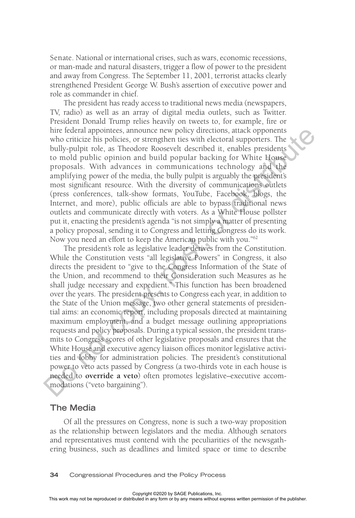Senate. National or international crises, such as wars, economic recessions, or man-made and natural disasters, trigger a flow of power to the president and away from Congress. The September 11, 2001, terrorist attacks clearly strengthened President George W. Bush's assertion of executive power and role as commander in chief.

The president has ready access to traditional news media (newspapers, TV, radio) as well as an array of digital media outlets, such as Twitter. President Donald Trump relies heavily on tweets to, for example, fire or hire federal appointees, announce new policy directions, attack opponents who criticize his policies, or strengthen ties with electoral supporters. The bully-pulpit role, as Theodore Roosevelt described it, enables presidents to mold public opinion and build popular backing for White House proposals. With advances in communications technology and the amplifying power of the media, the bully pulpit is arguably the president's most significant resource. With the diversity of communications outlets (press conferences, talk-show formats, YouTube, Facebook, blogs, the Internet, and more), public officials are able to bypass traditional news outlets and communicate directly with voters. As a White House pollster put it, enacting the president's agenda "is not simply a matter of presenting a policy proposal, sending it to Congress and letting Congress do its work. Now you need an effort to keep the American public with you."62

The president's role as legislative leader derives from the Constitution. While the Constitution vests "all legislative Powers" in Congress, it also directs the president to "give to the Congress Information of the State of the Union, and recommend to their Consideration such Measures as he shall judge necessary and expedient." This function has been broadened over the years. The president presents to Congress each year, in addition to the State of the Union message, two other general statements of presidential aims: an economic report, including proposals directed at maintaining maximum employment, and a budget message outlining appropriations requests and policy proposals. During a typical session, the president transmits to Congress scores of other legislative proposals and ensures that the White House and executive agency liaison offices monitor legislative activities and lobby for administration policies. The president's constitutional power to veto acts passed by Congress (a two-thirds vote in each house is needed to **override a veto**) often promotes legislative–executive accommodations ("veto bargaining"). hie feeleral appointers, a nanonco new policy directions, attack opponents<br>bubly-pulpit role, as Theodore Roosevelt described it, enables presidents<br>of bubly-pulpit role, as Theodore Roosevelt described it, enables presid

## **The Media**

Of all the pressures on Congress, none is such a two-way proposition as the relationship between legislators and the media. Although senators and representatives must contend with the peculiarities of the newsgathering business, such as deadlines and limited space or time to describe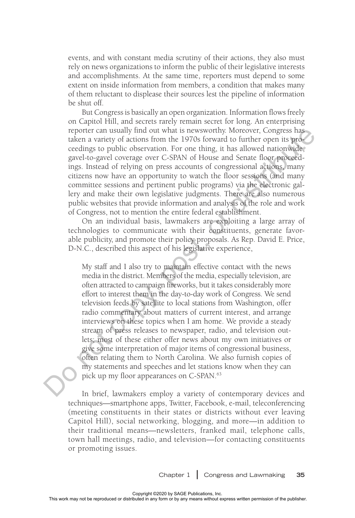events, and with constant media scrutiny of their actions, they also must rely on news organizations to inform the public of their legislative interests and accomplishments. At the same time, reporters must depend to some extent on inside information from members, a condition that makes many of them reluctant to displease their sources lest the pipeline of information be shut off.

But Congress is basically an open organization. Information flows freely on Capitol Hill, and secrets rarely remain secret for long. An enterprising reporter can usually find out what is newsworthy. Moreover, Congress has taken a variety of actions from the 1970s forward to further open its proceedings to public observation. For one thing, it has allowed nationwide, gavel-to-gavel coverage over C-SPAN of House and Senate floor proceedings. Instead of relying on press accounts of congressional actions, many citizens now have an opportunity to watch the floor sessions (and many committee sessions and pertinent public programs) via the electronic gallery and make their own legislative judgments. There are also numerous public websites that provide information and analysis of the role and work of Congress, not to mention the entire federal establishment.

On an individual basis, lawmakers are exploiting a large array of technologies to communicate with their constituents, generate favorable publicity, and promote their policy proposals. As Rep. David E. Price, D-N.C., described this aspect of his legislative experience,

My staff and I also try to maintain effective contact with the news media in the district. Members of the media, especially television, are often attracted to campaign fireworks, but it takes considerably more effort to interest them in the day-to-day work of Congress. We send television feeds by satellite to local stations from Washington, offer radio commentary about matters of current interest, and arrange interviews on these topics when I am home. We provide a steady stream of press releases to newspaper, radio, and television outlets; most of these either offer news about my own initiatives or give some interpretation of major items of congressional business, often relating them to North Carolina. We also furnish copies of my statements and speeches and let stations know when they can pick up my floor appearances on C-SPAN.<sup>63</sup> reporter can usually find out what is new<br>sworthy. Moreover, Congress has<br>taken a variety of actions from the 1970s forward to further open its pro-<br>cedings to public observation. For one thing, it has allowed nationwide<br>g

In brief, lawmakers employ a variety of contemporary devices and techniques—smartphone apps, Twitter, Facebook, e-mail, teleconferencing (meeting constituents in their states or districts without ever leaving Capitol Hill), social networking, blogging, and more—in addition to their traditional means—newsletters, franked mail, telephone calls, town hall meetings, radio, and television—for contacting constituents or promoting issues.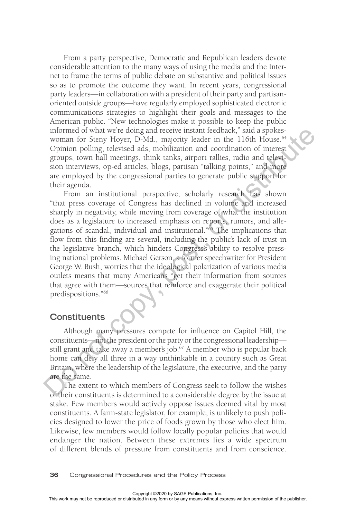From a party perspective, Democratic and Republican leaders devote considerable attention to the many ways of using the media and the Internet to frame the terms of public debate on substantive and political issues so as to promote the outcome they want. In recent years, congressional party leaders—in collaboration with a president of their party and partisanoriented outside groups—have regularly employed sophisticated electronic communications strategies to highlight their goals and messages to the American public. "New technologies make it possible to keep the public informed of what we're doing and receive instant feedback," said a spokeswoman for Steny Hoyer, D-Md., majority leader in the 116th House.<sup>64</sup> Opinion polling, televised ads, mobilization and coordination of interest groups, town hall meetings, think tanks, airport rallies, radio and television interviews, op-ed articles, blogs, partisan "talking points," and more are employed by the congressional parties to generate public support for their agenda.

From an institutional perspective, scholarly research has shown "that press coverage of Congress has declined in volume and increased sharply in negativity, while moving from coverage of what the institution does as a legislature to increased emphasis on reports, rumors, and allegations of scandal, individual and institutional."65 The implications that flow from this finding are several, including the public's lack of trust in the legislative branch, which hinders Congress's ability to resolve pressing national problems. Michael Gerson, a former speechwriter for President George W. Bush, worries that the ideological polarization of various media outlets means that many Americans "get their information from sources that agree with them—sources that reinforce and exaggerate their political predispositions."66 informed of what were looing and receive instant leedback," said a spokes-<br>
Opinion polling, televised ads, mobilization and coordination of interest<br>
Opinion polling, televised ads, mobilization and coordination of intere

## **Constituents**

Although many pressures compete for influence on Capitol Hill, the constituents—not the president or the party or the congressional leadership still grant and take away a member's job.<sup>67</sup> A member who is popular back home can defy all three in a way unthinkable in a country such as Great Britain, where the leadership of the legislature, the executive, and the party are the same.

The extent to which members of Congress seek to follow the wishes of their constituents is determined to a considerable degree by the issue at stake. Few members would actively oppose issues deemed vital by most constituents. A farm-state legislator, for example, is unlikely to push policies designed to lower the price of foods grown by those who elect him. Likewise, few members would follow locally popular policies that would endanger the nation. Between these extremes lies a wide spectrum of different blends of pressure from constituents and from conscience.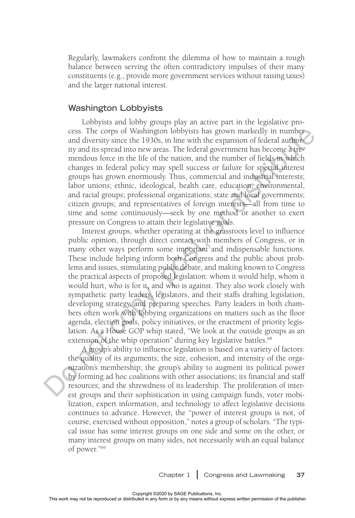Regularly, lawmakers confront the dilemma of how to maintain a rough balance between serving the often contradictory impulses of their many constituents (e.g., provide more government services without raising taxes) and the larger national interest.

## **Washington Lobbyists**

Lobbyists and lobby groups play an active part in the legislative process. The corps of Washington lobbyists has grown markedly in number and diversity since the 1930s, in line with the expansion of federal authority and its spread into new areas. The federal government has become a tremendous force in the life of the nation, and the number of fields in which changes in federal policy may spell success or failure for special interest groups has grown enormously. Thus, commercial and industrial interests; labor unions; ethnic, ideological, health care, education, environmental, and racial groups; professional organizations; state and local governments; citizen groups; and representatives of foreign interests—all from time to time and some continuously—seek by one method or another to exert pressure on Congress to attain their legislative goals.

Interest groups, whether operating at the grassroots level to influence public opinion, through direct contact with members of Congress, or in many other ways perform some important and indispensable functions. These include helping inform both Congress and the public about problems and issues, stimulating public debate, and making known to Congress the practical aspects of proposed legislation: whom it would help, whom it would hurt, who is for it, and who is against. They also work closely with sympathetic party leaders, legislators, and their staffs drafting legislation, developing strategy, and preparing speeches. Party leaders in both chambers often work with lobbying organizations on matters such as the floor agenda, election goals, policy initiatives, or the enactment of priority legislation. As a House GOP whip stated, "We look at the outside groups as an extension of the whip operation" during key legislative battles.<sup>68</sup> cess. The corps of Washington lobby<br>is has grown markedly in number and diversity since the 1930s, in line with the expansion of federal authors<br>ity and its spread into new areas. The federal government has become a tree<br>m

A group's ability to influence legislation is based on a variety of factors: the quality of its arguments; the size, cohesion, and intensity of the organization's membership; the group's ability to augment its political power by forming ad hoc coalitions with other associations; its financial and staff resources; and the shrewdness of its leadership. The proliferation of interest groups and their sophistication in using campaign funds, voter mobilization, expert information, and technology to affect legislative decisions continues to advance. However, the "power of interest groups is not, of course, exercised without opposition," notes a group of scholars. "The typical issue has some interest groups on one side and some on the other, or many interest groups on many sides, not necessarily with an equal balance of power."69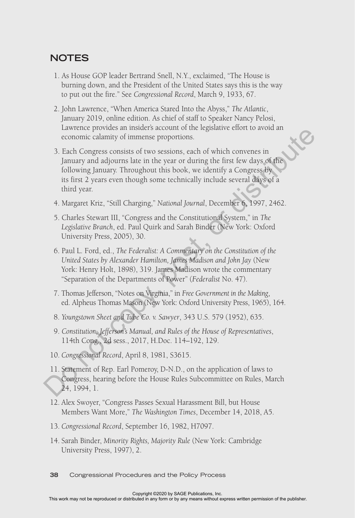# **NOTES**

- 1. As House GOP leader Bertrand Snell, N.Y., exclaimed, "The House is burning down, and the President of the United States says this is the way to put out the fire." See *Congressional Record*, March 9, 1933, 67.
- 2. John Lawrence, "When America Stared Into the Abyss," *The Atlantic*, January 2019, online edition. As chief of staff to Speaker Nancy Pelosi, Lawrence provides an insider's account of the legislative effort to avoid an economic calamity of immense proportions.
- 3. Each Congress consists of two sessions, each of which convenes in January and adjourns late in the year or during the first few days of the following January. Throughout this book, we identify a Congress by its first 2 years even though some technically include several days of a third year. Extract powders an finisters account of the registative entit to avoid an economic calamity of immense proportions.<br>
3. Each Congress consists of two sessions, each of which convenes in January and adjourns late in the yea
	- 4. Margaret Kriz, "Still Charging," *National Journal*, December 6, 1997, 2462.
	- 5. Charles Stewart III, "Congress and the Constitutional System," in *The Legislative Branch*, ed. Paul Quirk and Sarah Binder (New York: Oxford University Press, 2005), 30.
	- 6. Paul L. Ford, ed., *The Federalist: A Commentary on the Constitution of the United States by Alexander Hamilton, James Madison and John Jay* (New York: Henry Holt, 1898), 319. James Madison wrote the commentary "Separation of the Departments of Power" (*Federalist* No. 47).
	- 7. Thomas Jefferson, "Notes on Virginia," in *Free Government in the Making*, ed. Alpheus Thomas Mason (New York: Oxford University Press, 1965), 164.
	- 8. *Youngstown Sheet and Tube Co. v. Sawyer*, 343 U.S. 579 (1952), 635.
	- 9. *Constitution, Jefferson's Manual, and Rules of the House of Representatives*, 114th Cong., 2d sess., 2017, H.Doc. 114–192, 129.
	- 10. *Congressional Record*, April 8, 1981, S3615.
	- 11. Statement of Rep. Earl Pomeroy, D-N.D., on the application of laws to Congress, hearing before the House Rules Subcommittee on Rules, March 24, 1994, 1.
	- 12. Alex Swoyer, "Congress Passes Sexual Harassment Bill, but House Members Want More," *The Washington Times*, December 14, 2018, A5.
	- 13. *Congressional Record*, September 16, 1982, H7097.
	- 14. Sarah Binder, *Minority Rights, Majority Rule* (New York: Cambridge University Press, 1997), 2.
	- **38** Congressional Procedures and the Policy Process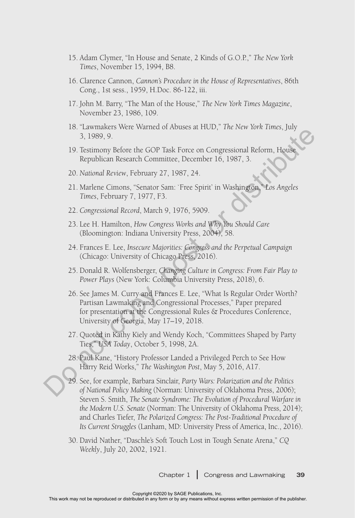- 15. Adam Clymer, "In House and Senate, 2 Kinds of G.O.P.," *The New York Times*, November 15, 1994, B8.
- 16. Clarence Cannon, *Cannon's Procedure in the House of Representatives*, 86th Cong., 1st sess., 1959, H.Doc. 86-122, iii.
- 17. John M. Barry, "The Man of the House," *The New York Times Magazine*, November 23, 1986, 109.
- 18. "Lawmakers Were Warned of Abuses at HUD," *The New York Times*, July 3, 1989, 9.
- 19. Testimony Before the GOP Task Force on Congressional Reform, House Republican Research Committee, December 16, 1987, 3.
- 20. *National Review*, February 27, 1987, 24.
- 21. Marlene Cimons, "Senator Sam: `Free Spirit' in Washington," *Los Angeles Times*, February 7, 1977, F3.
- 22. *Congressional Record*, March 9, 1976, 5909.
- 23. Lee H. Hamilton, *How Congress Works and Why You Should Care* (Bloomington: Indiana University Press, 2004), 58.
- 24. Frances E. Lee, *Insecure Majorities: Congress and the Perpetual Campaign* (Chicago: University of Chicago Press, 2016).
- 25. Donald R. Wolfensberger, *Changing Culture in Congress: From Fair Play to Power Plays* (New York: Columbia University Press, 2018), 6.
- 26. See James M. Curry and Frances E. Lee, "What Is Regular Order Worth? Partisan Lawmaking and Congressional Processes," Paper prepared for presentation at the Congressional Rules & Procedures Conference, University of Georgia, May 17–19, 2018. 1. Lewinsters, or variation Frotoscs at Hotel, The Here Hote Finder, 1991.<br>
2. J. 1989, 9.<br>
2. National Review, February 27, 1987, 24.<br>
2. National Review, February 27, 1987, 24.<br>
2. National Review, February 27, 1987, 24.
	- 27. Quoted in Kathy Kiely and Wendy Koch, "Committees Shaped by Party Ties," *USA Today*, October 5, 1998, 2A.
	- 28. Paul Kane, "History Professor Landed a Privileged Perch to See How Harry Reid Works," *The Washington Post*, May 5, 2016, A17.
	- 29. See, for example, Barbara Sinclair, *Party Wars: Polarization and the Politics of National Policy Making* (Norman: University of Oklahoma Press, 2006); Steven S. Smith, *The Senate Syndrome: The Evolution of Procedural Warfare in the Modern U.S. Senate* (Norman: The University of Oklahoma Press, 2014); and Charles Tiefer, *The Polarized Congress: The Post-Traditional Procedure of Its Current Struggles* (Lanham, MD: University Press of America, Inc., 2016).
	- 30. David Nather, "Daschle's Soft Touch Lost in Tough Senate Arena," *CQ Weekly*, July 20, 2002, 1921.

Chapter 1 **|** Congress and Lawmaking **<sup>39</sup>**

Copyright ©2020 by SAGE Publications, Inc.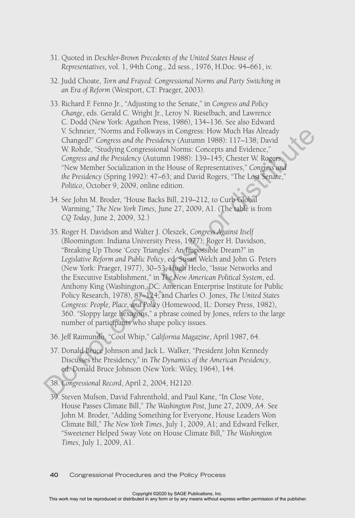- 31. Quoted in *Deschler-Brown Precedents of the United States House of Representatives*, vol. 1, 94th Cong., 2d sess., 1976, H.Doc. 94–661, iv.
- 32. Judd Choate, *Torn and Frayed: Congressional Norms and Party Switching in an Era of Reform* (Westport, CT: Praeger, 2003).
- 33. Richard F. Fenno Jr., "Adjusting to the Senate," in *Congress and Policy Change*, eds. Gerald C. Wright Jr., Leroy N. Rieselbach, and Lawrence C. Dodd (New York: Agathon Press, 1986), 134–136. See also Edward V. Schneier, "Norms and Folkways in Congress: How Much Has Already Changed?" *Congress and the Presidency* (Autumn 1988): 117–138; David W. Rohde, "Studying Congressional Norms: Concepts and Evidence," *Congress and the Presidency* (Autumn 1988): 139–145; Chester W. Rogers, "New Member Socialization in the House of Representatives," *Congress and the Presidency* (Spring 1992): 47–63; and David Rogers, "The Lost Senate," *Politico*, October 9, 2009, online edition.
- 34. See John M. Broder, "House Backs Bill, 219–212, to Curb Global Warming," *The New York Times*, June 27, 2009, A1. (The table is from *CQ Today*, June 2, 2009, 32.)
- 35. Roger H. Davidson and Walter J. Oleszek, *Congress Against Itself* (Bloomington: Indiana University Press, 1977); Roger H. Davidson, "Breaking Up Those 'Cozy Triangles': An Impossible Dream?" in *Legislative Reform and Public Policy*, ed. Susan Welch and John G. Peters (New York: Praeger, 1977), 30–53; Hugh Heclo, "Issue Networks and the Executive Establishment," in *The New American Political System*, ed. Anthony King (Washington, DC: American Enterprise Institute for Public Policy Research, 1978), 87–124; and Charles O. Jones, *The United States Congress: People, Place, and Policy* (Homewood, IL: Dorsey Press, 1982), 360. "Sloppy large hexagons," a phrase coined by Jones, refers to the large number of participants who shape policy issues. V. Schneire, "Norms and Folklways in Congress: How Much Has Already<br>
Changel?" Congress and the Presidency (Autumn 1988): 117–138; David<br>
W. Rohde, "Studying Congressional Norms: Concepts and Evidence,"<br>
Congress and the P
	- 36. Jeff Raimundo, "Cool Whip," *California Magazine*, April 1987, 64.
	- 37. Donald Bruce Johnson and Jack L. Walker, "President John Kennedy Discusses the Presidency," in *The Dynamics of the American Presidency*, ed. Donald Bruce Johnson (New York: Wiley, 1964), 144.
	- 38. *Congressional Record*, April 2, 2004, H2120.
	- 39. Steven Mufson, David Fahrenthold, and Paul Kane, "In Close Vote, House Passes Climate Bill," *The Washington Post*, June 27, 2009, A4. See John M. Broder, "Adding Something for Everyone, House Leaders Won Climate Bill," *The New York Times*, July 1, 2009, A1; and Edward Felker, "Sweetener Helped Sway Vote on House Climate Bill," *The Washington Times*, July 1, 2009, A1.
	- **40** Congressional Procedures and the Policy Process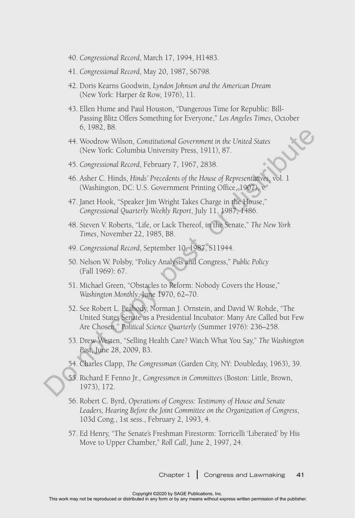- 40. *Congressional Record*, March 17, 1994, H1483.
- 41. *Congressional Record*, May 20, 1987, S6798.
- 42. Doris Kearns Goodwin, *Lyndon Johnson and the American Dream* (New York: Harper & Row, 1976), 11.
- 43. Ellen Hume and Paul Houston, "Dangerous Time for Republic: Bill-Passing Blitz Offers Something for Everyone," *Los Angeles Times*, October 6, 1982, B8.
- 44. Woodrow Wilson, *Constitutional Government in the United States* (New York: Columbia University Press, 1911), 87.
- 45. *Congressional Record*, February 7, 1967, 2838.
- 46. Asher C. Hinds, *Hinds' Precedents of the House of Representatives*, vol. 1 (Washington, DC: U.S. Government Printing Office, 1907), v.
- 47. Janet Hook, "Speaker Jim Wright Takes Charge in the House," *Congressional Quarterly Weekly Report*, July 11, 1987, 1486.
- 48. Steven V. Roberts, "Life, or Lack Thereof, in the Senate," *The New York Times*, November 22, 1985, B8.
- 49. *Congressional Record*, September 10, 1987, S11944.
- 50. Nelson W. Polsby, "Policy Analysis and Congress," *Public Policy* (Fall 1969): 67.
- 51. Michael Green, "Obstacles to Reform: Nobody Covers the House," *Washington Monthly*, June 1970, 62–70.
- 52. See Robert L. Peabody, Norman J. Ornstein, and David W. Rohde, "The United States Senate as a Presidential Incubator: Many Are Called but Few Are Chosen," *Political Science Quarterly* (Summer 1976): 236–258. 9. Howev, Wilson, Constitutional Government in the United States<br>
(Noother Wilson, Constitutional Government in the United States<br>
(Now York: Columbia University Press, 1911), 87.<br>
45. Congressional Record, February 7, 196
	- 53. Drew Westen, "Selling Health Care? Watch What You Say," *The Washington Post*, June 28, 2009, B3.
	- 54. Charles Clapp, *The Congressman* (Garden City, NY: Doubleday, 1963), 39.
	- 55. Richard F. Fenno Jr., *Congressmen in Committees* (Boston: Little, Brown, 1973), 172.
	- 56. Robert C. Byrd, *Operations of Congress: Testimony of House and Senate Leaders, Hearing Before the Joint Committee on the Organization of Congress*, 103d Cong., 1st sess., February 2, 1993, 4.
	- 57. Ed Henry, "The Senate's Freshman Firestorm: Torricelli 'Liberated' by His Move to Upper Chamber," *Roll Call*, June 2, 1997, 24.

Chapter 1 **|** Congress and Lawmaking **<sup>41</sup>**

Copyright ©2020 by SAGE Publications, Inc.